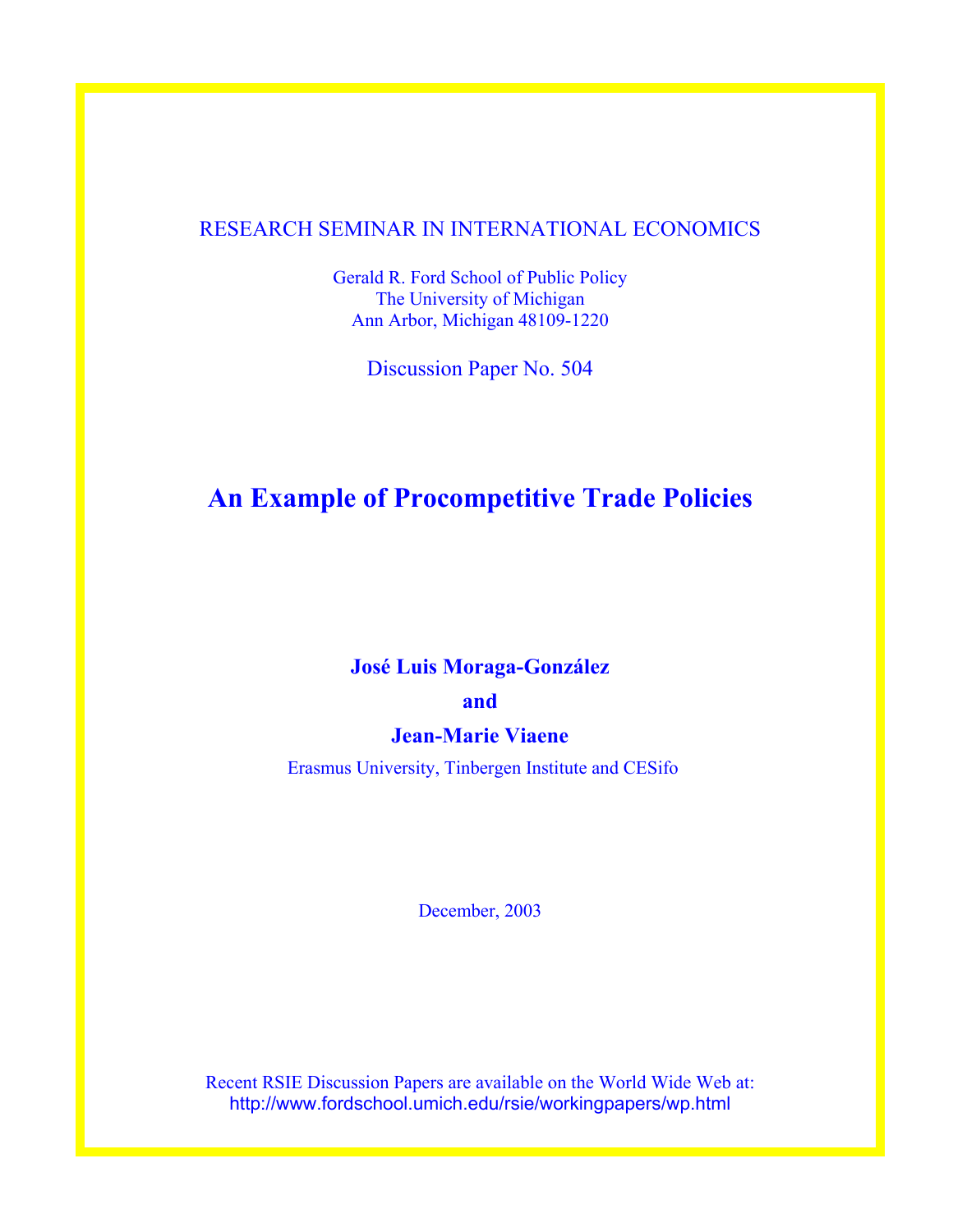## RESEARCH SEMINAR IN INTERNATIONAL ECONOMICS

Gerald R. Ford School of Public Policy The University of Michigan Ann Arbor, Michigan 48109-1220

Discussion Paper No. 504

# **An Example of Procompetitive Trade Policies**

# **José Luis Moraga-González**

## **and**

## **Jean-Marie Viaene**

Erasmus University, Tinbergen Institute and CESifo

December, 2003

Recent RSIE Discussion Papers are available on the World Wide Web at: http://www.fordschool.umich.edu/rsie/workingpapers/wp.html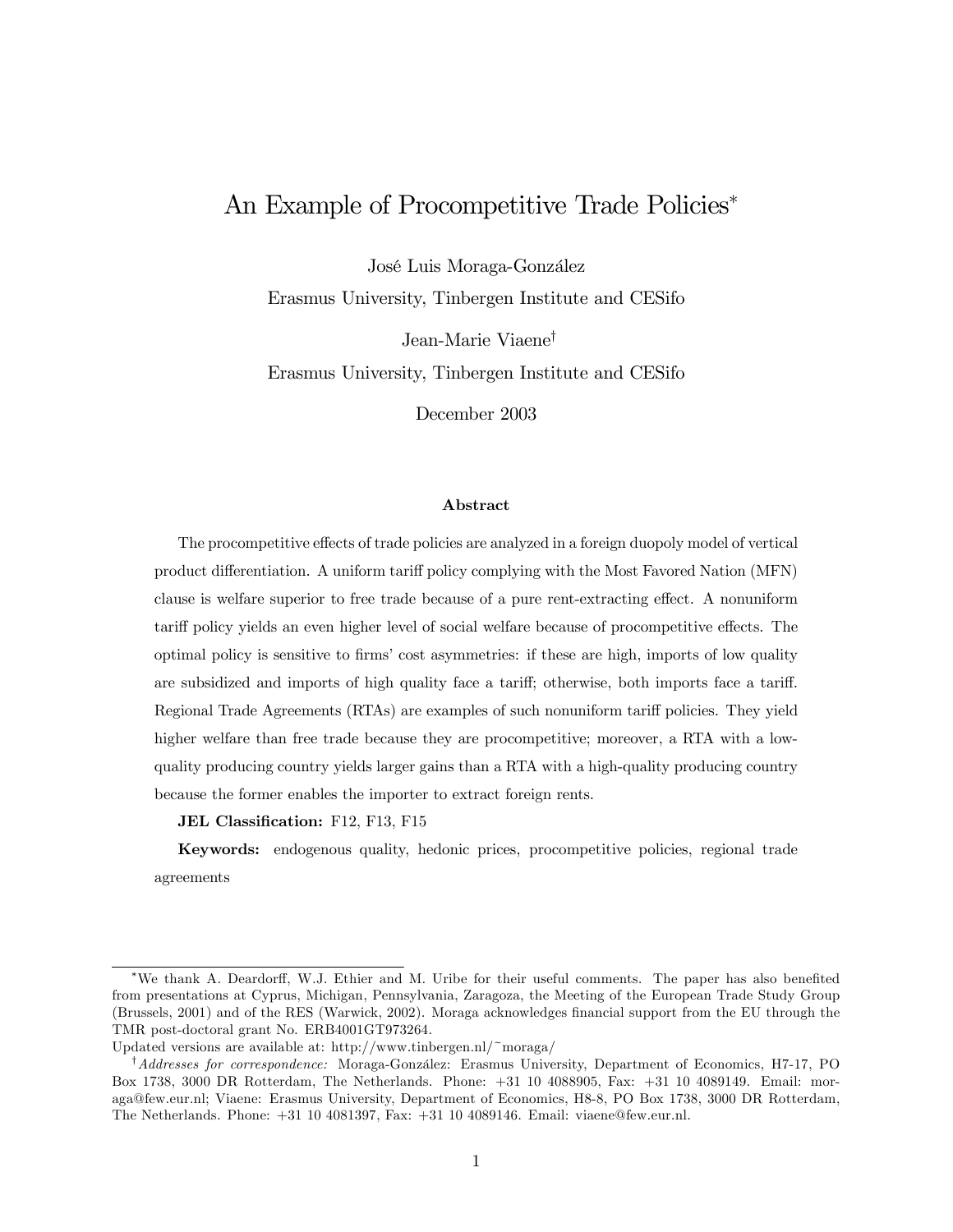# An Example of Procompetitive Trade Policies<sup>∗</sup>

José Luis Moraga-González

Erasmus University, Tinbergen Institute and CESifo

Jean-Marie Viaene†

Erasmus University, Tinbergen Institute and CESifo

December 2003

#### Abstract

The procompetitive effects of trade policies are analyzed in a foreign duopoly model of vertical product differentiation. A uniform tariff policy complying with the Most Favored Nation (MFN) clause is welfare superior to free trade because of a pure rent-extracting effect. A nonuniform tariff policy yields an even higher level of social welfare because of procompetitive effects. The optimal policy is sensitive to firms' cost asymmetries: if these are high, imports of low quality are subsidized and imports of high quality face a tariff; otherwise, both imports face a tariff. Regional Trade Agreements (RTAs) are examples of such nonuniform tariff policies. They yield higher welfare than free trade because they are procompetitive; moreover, a RTA with a lowquality producing country yields larger gains than a RTA with a high-quality producing country because the former enables the importer to extract foreign rents.

JEL Classification: F12, F13, F15

Keywords: endogenous quality, hedonic prices, procompetitive policies, regional trade agreements

<sup>∗</sup>We thank A. Deardorff, W.J. Ethier and M. Uribe for their useful comments. The paper has also benefited from presentations at Cyprus, Michigan, Pennsylvania, Zaragoza, the Meeting of the European Trade Study Group (Brussels, 2001) and of the RES (Warwick, 2002). Moraga acknowledges financial support from the EU through the TMR post-doctoral grant No. ERB4001GT973264.

Updated versions are available at: http://www.tinbergen.nl/~moraga/

<sup>†</sup>Addresses for correspondence: Moraga-González: Erasmus University, Department of Economics, H7-17, PO Box 1738, 3000 DR Rotterdam, The Netherlands. Phone: +31 10 4088905, Fax: +31 10 4089149. Email: moraga@few.eur.nl; Viaene: Erasmus University, Department of Economics, H8-8, PO Box 1738, 3000 DR Rotterdam, The Netherlands. Phone: +31 10 4081397, Fax: +31 10 4089146. Email: viaene@few.eur.nl.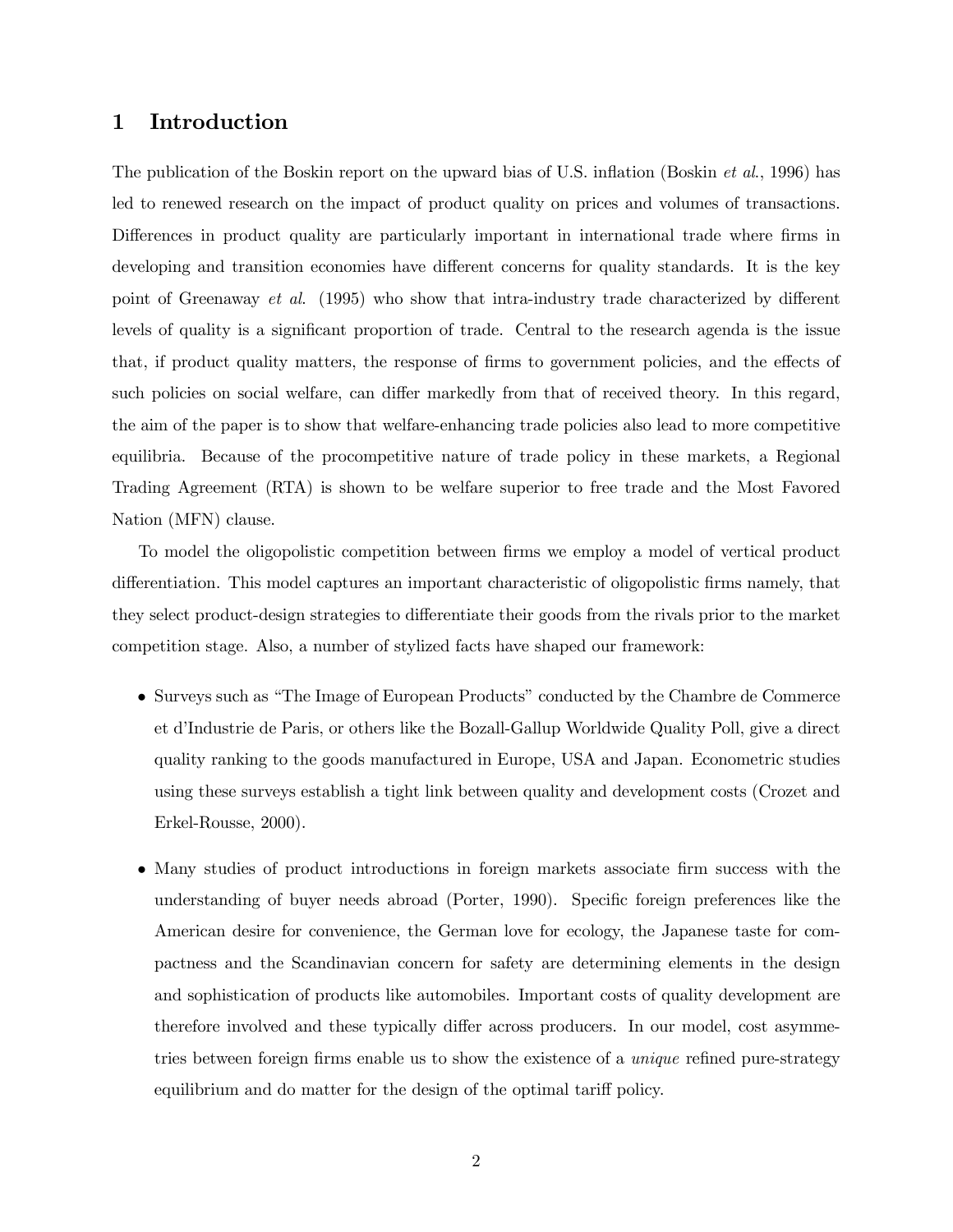## 1 Introduction

The publication of the Boskin report on the upward bias of U.S. inflation (Boskin et al., 1996) has led to renewed research on the impact of product quality on prices and volumes of transactions. Differences in product quality are particularly important in international trade where firms in developing and transition economies have different concerns for quality standards. It is the key point of Greenaway et al. (1995) who show that intra-industry trade characterized by different levels of quality is a significant proportion of trade. Central to the research agenda is the issue that, if product quality matters, the response of firms to government policies, and the effects of such policies on social welfare, can differ markedly from that of received theory. In this regard, the aim of the paper is to show that welfare-enhancing trade policies also lead to more competitive equilibria. Because of the procompetitive nature of trade policy in these markets, a Regional Trading Agreement (RTA) is shown to be welfare superior to free trade and the Most Favored Nation (MFN) clause.

To model the oligopolistic competition between firms we employ a model of vertical product differentiation. This model captures an important characteristic of oligopolistic firms namely, that they select product-design strategies to differentiate their goods from the rivals prior to the market competition stage. Also, a number of stylized facts have shaped our framework:

- Surveys such as "The Image of European Products" conducted by the Chambre de Commerce et d'Industrie de Paris, or others like the Bozall-Gallup Worldwide Quality Poll, give a direct quality ranking to the goods manufactured in Europe, USA and Japan. Econometric studies using these surveys establish a tight link between quality and development costs (Crozet and Erkel-Rousse, 2000).
- Many studies of product introductions in foreign markets associate firm success with the understanding of buyer needs abroad (Porter, 1990). Specific foreign preferences like the American desire for convenience, the German love for ecology, the Japanese taste for compactness and the Scandinavian concern for safety are determining elements in the design and sophistication of products like automobiles. Important costs of quality development are therefore involved and these typically differ across producers. In our model, cost asymmetries between foreign firms enable us to show the existence of a *unique* refined pure-strategy equilibrium and do matter for the design of the optimal tariff policy.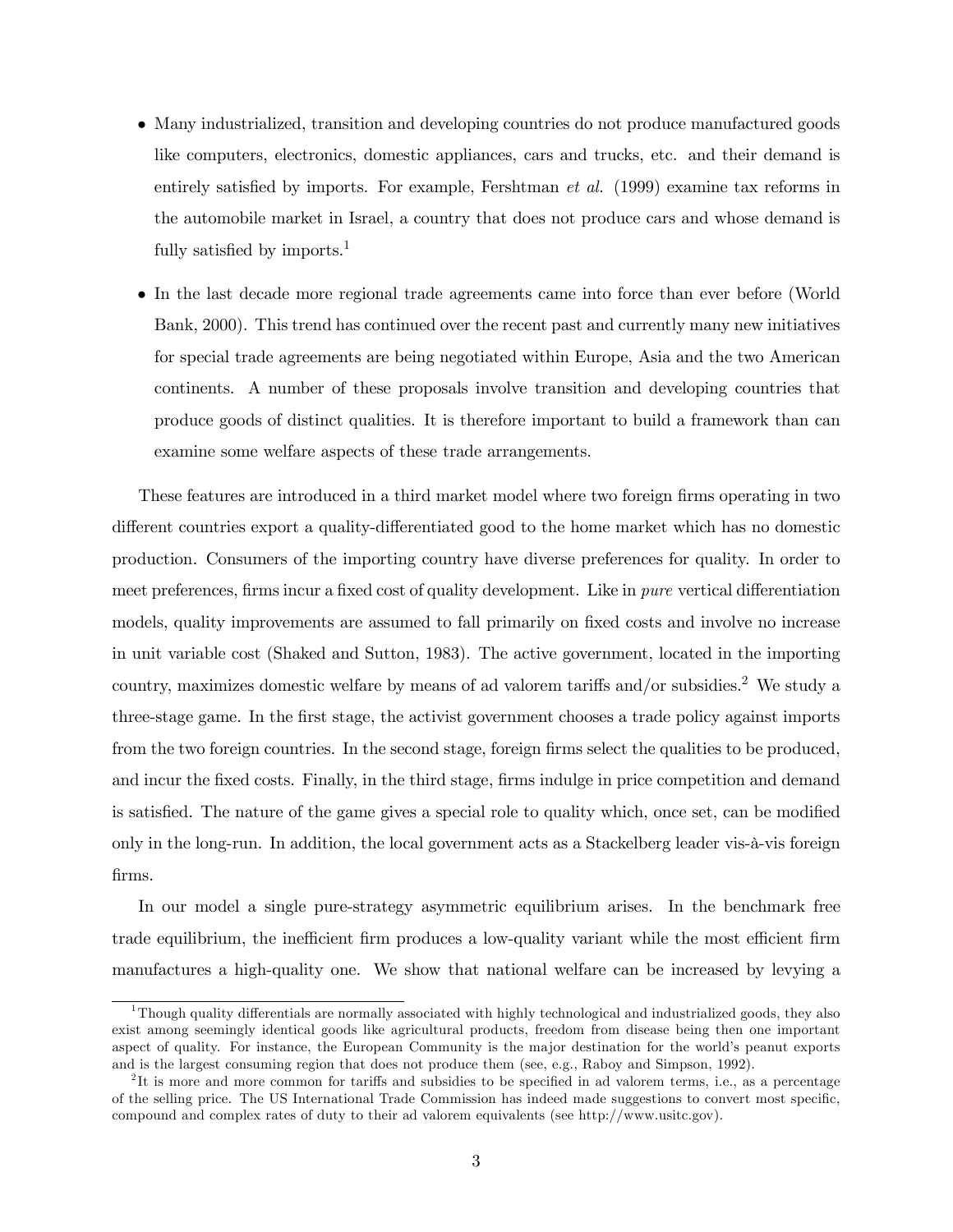- Many industrialized, transition and developing countries do not produce manufactured goods like computers, electronics, domestic appliances, cars and trucks, etc. and their demand is entirely satisfied by imports. For example, Fershtman *et al.* (1999) examine tax reforms in the automobile market in Israel, a country that does not produce cars and whose demand is fully satisfied by imports.<sup>1</sup>
- In the last decade more regional trade agreements came into force than ever before (World Bank, 2000). This trend has continued over the recent past and currently many new initiatives for special trade agreements are being negotiated within Europe, Asia and the two American continents. A number of these proposals involve transition and developing countries that produce goods of distinct qualities. It is therefore important to build a framework than can examine some welfare aspects of these trade arrangements.

These features are introduced in a third market model where two foreign firms operating in two different countries export a quality-differentiated good to the home market which has no domestic production. Consumers of the importing country have diverse preferences for quality. In order to meet preferences, firms incur a fixed cost of quality development. Like in pure vertical differentiation models, quality improvements are assumed to fall primarily on fixed costs and involve no increase in unit variable cost (Shaked and Sutton, 1983). The active government, located in the importing country, maximizes domestic welfare by means of ad valorem tariffs and/or subsidies.<sup>2</sup> We study a three-stage game. In the first stage, the activist government chooses a trade policy against imports from the two foreign countries. In the second stage, foreign firms select the qualities to be produced, and incur the fixed costs. Finally, in the third stage, firms indulge in price competition and demand is satisfied. The nature of the game gives a special role to quality which, once set, can be modified only in the long-run. In addition, the local government acts as a Stackelberg leader vis-à-vis foreign firms.

In our model a single pure-strategy asymmetric equilibrium arises. In the benchmark free trade equilibrium, the inefficient firm produces a low-quality variant while the most efficient firm manufactures a high-quality one. We show that national welfare can be increased by levying a

 $1$ Though quality differentials are normally associated with highly technological and industrialized goods, they also exist among seemingly identical goods like agricultural products, freedom from disease being then one important aspect of quality. For instance, the European Community is the major destination for the world's peanut exports and is the largest consuming region that does not produce them (see, e.g., Raboy and Simpson, 1992).

<sup>&</sup>lt;sup>2</sup>It is more and more common for tariffs and subsidies to be specified in ad valorem terms, i.e., as a percentage of the selling price. The US International Trade Commission has indeed made suggestions to convert most specific, compound and complex rates of duty to their ad valorem equivalents (see http://www.usitc.gov).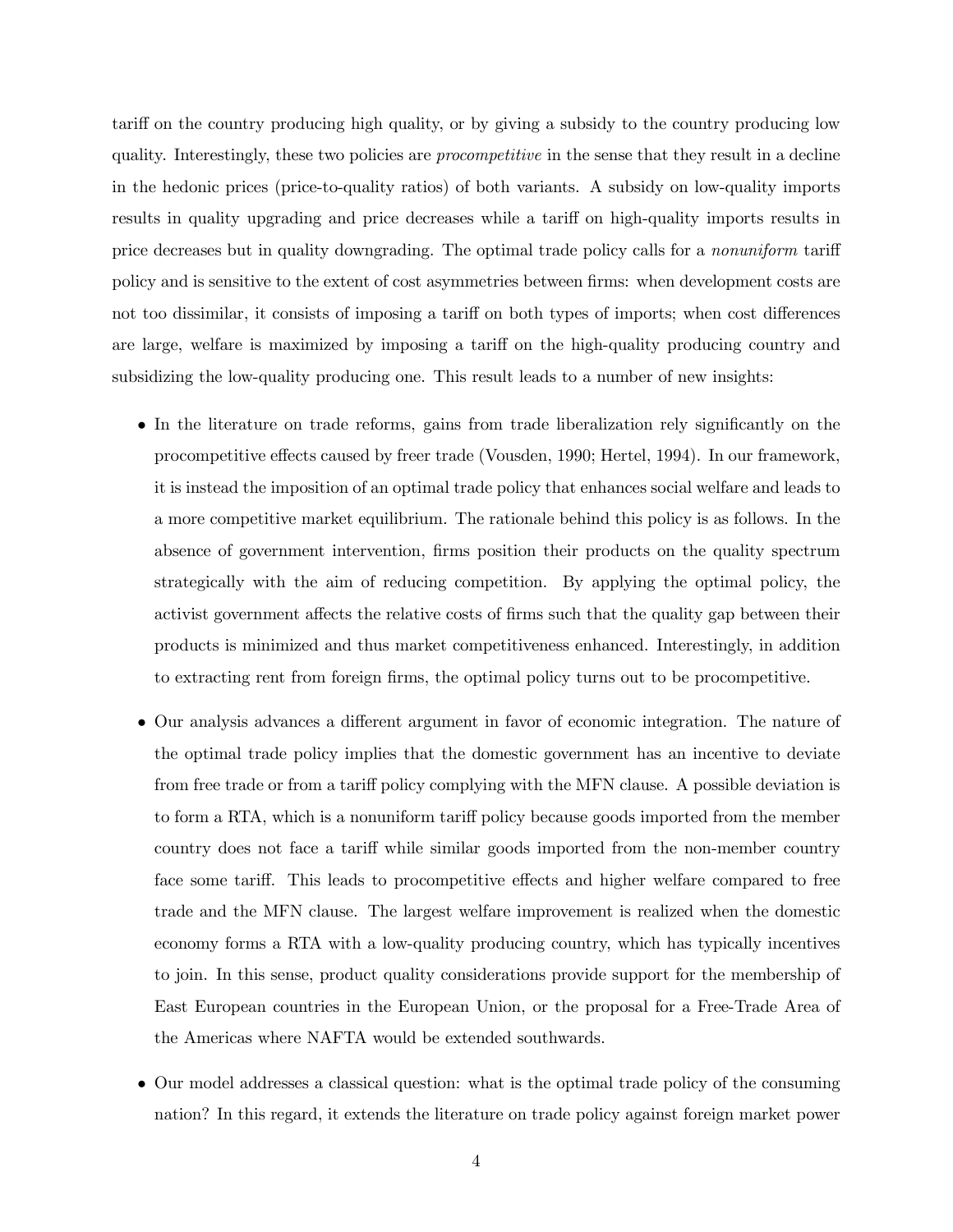tariff on the country producing high quality, or by giving a subsidy to the country producing low quality. Interestingly, these two policies are *procompetitive* in the sense that they result in a decline in the hedonic prices (price-to-quality ratios) of both variants. A subsidy on low-quality imports results in quality upgrading and price decreases while a tariff on high-quality imports results in price decreases but in quality downgrading. The optimal trade policy calls for a nonuniform tariff policy and is sensitive to the extent of cost asymmetries between firms: when development costs are not too dissimilar, it consists of imposing a tariff on both types of imports; when cost differences are large, welfare is maximized by imposing a tariff on the high-quality producing country and subsidizing the low-quality producing one. This result leads to a number of new insights:

- In the literature on trade reforms, gains from trade liberalization rely significantly on the procompetitive effects caused by freer trade (Vousden, 1990; Hertel, 1994). In our framework, it is instead the imposition of an optimal trade policy that enhances social welfare and leads to a more competitive market equilibrium. The rationale behind this policy is as follows. In the absence of government intervention, firms position their products on the quality spectrum strategically with the aim of reducing competition. By applying the optimal policy, the activist government affects the relative costs of firms such that the quality gap between their products is minimized and thus market competitiveness enhanced. Interestingly, in addition to extracting rent from foreign firms, the optimal policy turns out to be procompetitive.
- Our analysis advances a different argument in favor of economic integration. The nature of the optimal trade policy implies that the domestic government has an incentive to deviate from free trade or from a tariff policy complying with the MFN clause. A possible deviation is to form a RTA, which is a nonuniform tariff policy because goods imported from the member country does not face a tariff while similar goods imported from the non-member country face some tariff. This leads to procompetitive effects and higher welfare compared to free trade and the MFN clause. The largest welfare improvement is realized when the domestic economy forms a RTA with a low-quality producing country, which has typically incentives to join. In this sense, product quality considerations provide support for the membership of East European countries in the European Union, or the proposal for a Free-Trade Area of the Americas where NAFTA would be extended southwards.
- Our model addresses a classical question: what is the optimal trade policy of the consuming nation? In this regard, it extends the literature on trade policy against foreign market power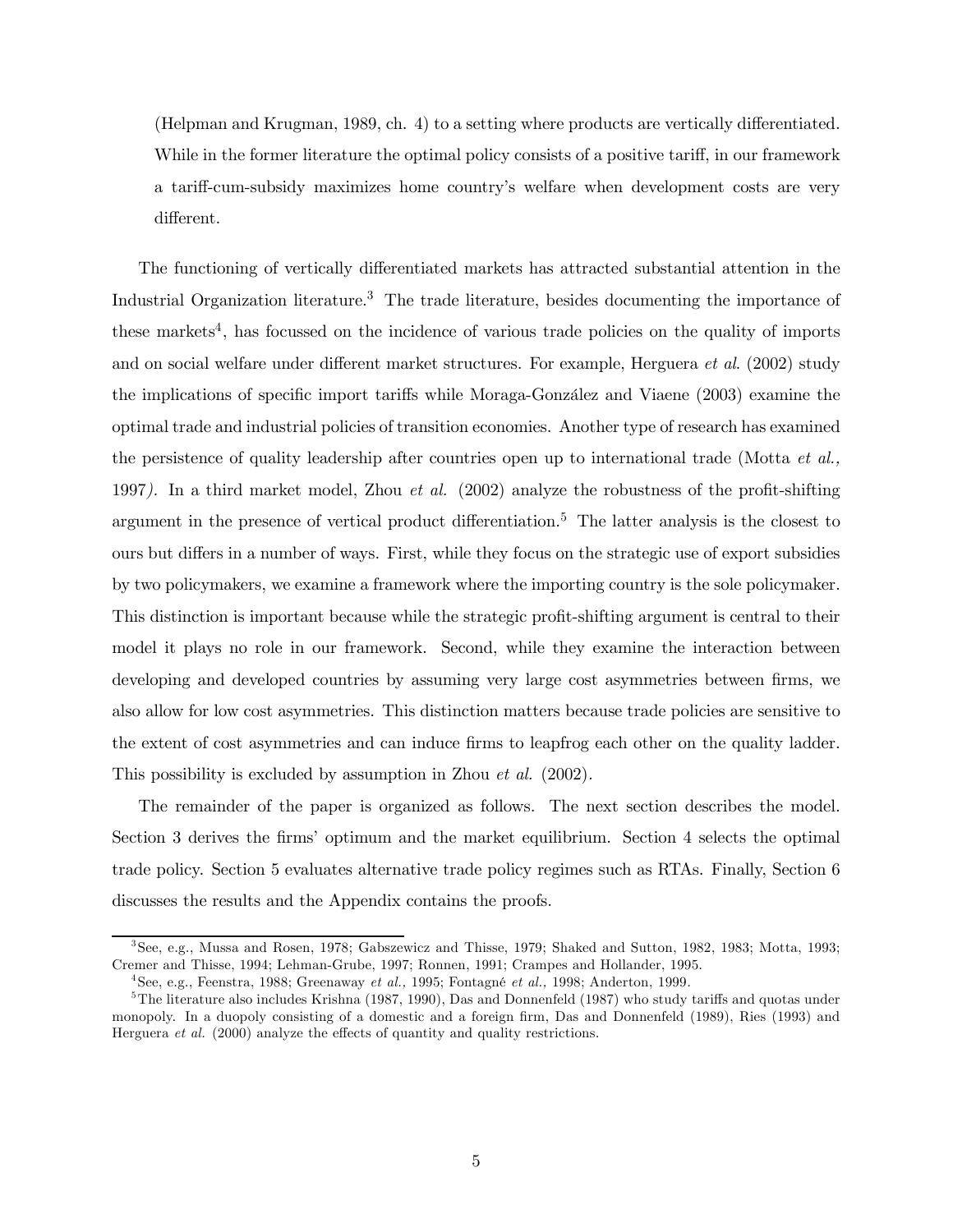(Helpman and Krugman, 1989, ch. 4) to a setting where products are vertically differentiated. While in the former literature the optimal policy consists of a positive tariff, in our framework a tariff-cum-subsidy maximizes home country's welfare when development costs are very different.

The functioning of vertically differentiated markets has attracted substantial attention in the Industrial Organization literature.<sup>3</sup> The trade literature, besides documenting the importance of these markets<sup>4</sup>, has focussed on the incidence of various trade policies on the quality of imports and on social welfare under different market structures. For example, Herguera et al. (2002) study the implications of specific import tariffs while Moraga-González and Viaene (2003) examine the optimal trade and industrial policies of transition economies. Another type of research has examined the persistence of quality leadership after countries open up to international trade (Motta  $et al.,$ 1997). In a third market model, Zhou et al. (2002) analyze the robustness of the profit-shifting argument in the presence of vertical product differentiation.<sup>5</sup> The latter analysis is the closest to ours but differs in a number of ways. First, while they focus on the strategic use of export subsidies by two policymakers, we examine a framework where the importing country is the sole policymaker. This distinction is important because while the strategic profit-shifting argument is central to their model it plays no role in our framework. Second, while they examine the interaction between developing and developed countries by assuming very large cost asymmetries between firms, we also allow for low cost asymmetries. This distinction matters because trade policies are sensitive to the extent of cost asymmetries and can induce firms to leapfrog each other on the quality ladder. This possibility is excluded by assumption in Zhou *et al.* (2002).

The remainder of the paper is organized as follows. The next section describes the model. Section 3 derives the firms' optimum and the market equilibrium. Section 4 selects the optimal trade policy. Section 5 evaluates alternative trade policy regimes such as RTAs. Finally, Section 6 discusses the results and the Appendix contains the proofs.

<sup>3</sup>See, e.g., Mussa and Rosen, 1978; Gabszewicz and Thisse, 1979; Shaked and Sutton, 1982, 1983; Motta, 1993; Cremer and Thisse, 1994; Lehman-Grube, 1997; Ronnen, 1991; Crampes and Hollander, 1995.

<sup>&</sup>lt;sup>4</sup> See, e.g., Feenstra, 1988; Greenaway *et al.*, 1995; Fontagné *et al.*, 1998; Anderton, 1999.

<sup>&</sup>lt;sup>5</sup>The literature also includes Krishna (1987, 1990), Das and Donnenfeld (1987) who study tariffs and quotas under monopoly. In a duopoly consisting of a domestic and a foreign firm, Das and Donnenfeld (1989), Ries (1993) and Herguera et al. (2000) analyze the effects of quantity and quality restrictions.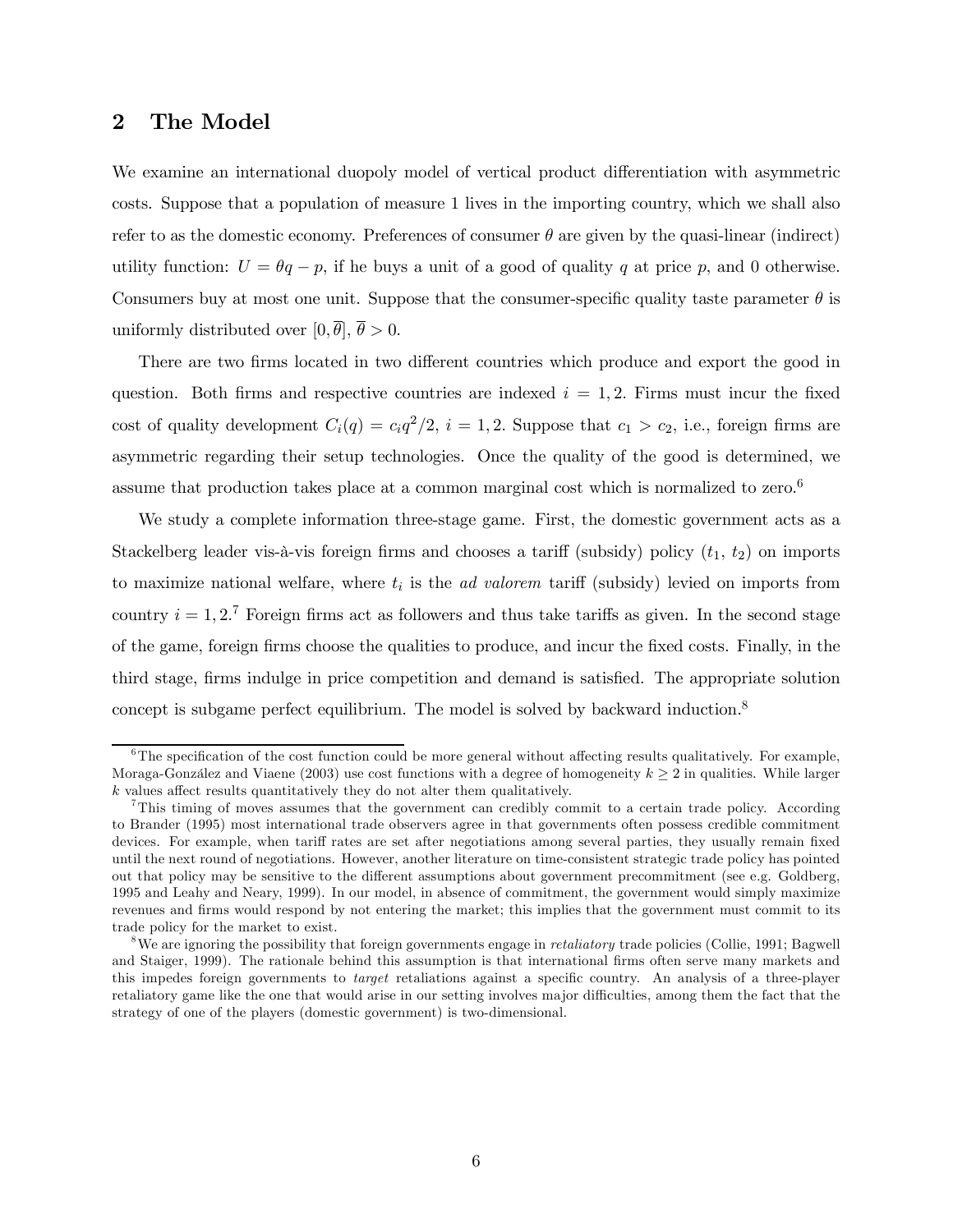## 2 The Model

We examine an international duopoly model of vertical product differentiation with asymmetric costs. Suppose that a population of measure 1 lives in the importing country, which we shall also refer to as the domestic economy. Preferences of consumer  $\theta$  are given by the quasi-linear (indirect) utility function:  $U = \theta q - p$ , if he buys a unit of a good of quality q at price p, and 0 otherwise. Consumers buy at most one unit. Suppose that the consumer-specific quality taste parameter  $\theta$  is uniformly distributed over  $[0, \overline{\theta}], \overline{\theta} > 0$ .

There are two firms located in two different countries which produce and export the good in question. Both firms and respective countries are indexed  $i = 1, 2$ . Firms must incur the fixed cost of quality development  $C_i(q) = c_i q^2/2$ ,  $i = 1, 2$ . Suppose that  $c_1 > c_2$ , i.e., foreign firms are asymmetric regarding their setup technologies. Once the quality of the good is determined, we assume that production takes place at a common marginal cost which is normalized to zero.6

We study a complete information three-stage game. First, the domestic government acts as a Stackelberg leader vis-à-vis foreign firms and chooses a tariff (subsidy) policy  $(t_1, t_2)$  on imports to maximize national welfare, where  $t_i$  is the *ad valorem* tariff (subsidy) levied on imports from country  $i = 1, 2, 7$  Foreign firms act as followers and thus take tariffs as given. In the second stage of the game, foreign firms choose the qualities to produce, and incur the fixed costs. Finally, in the third stage, firms indulge in price competition and demand is satisfied. The appropriate solution concept is subgame perfect equilibrium. The model is solved by backward induction.<sup>8</sup>

 $6$ The specification of the cost function could be more general without affecting results qualitatively. For example, Moraga-González and Viaene (2003) use cost functions with a degree of homogeneity  $k \geq 2$  in qualities. While larger k values affect results quantitatively they do not alter them qualitatively.

<sup>7</sup>This timing of moves assumes that the government can credibly commit to a certain trade policy. According to Brander (1995) most international trade observers agree in that governments often possess credible commitment devices. For example, when tariff rates are set after negotiations among several parties, they usually remain fixed until the next round of negotiations. However, another literature on time-consistent strategic trade policy has pointed out that policy may be sensitive to the different assumptions about government precommitment (see e.g. Goldberg, 1995 and Leahy and Neary, 1999). In our model, in absence of commitment, the government would simply maximize revenues and firms would respond by not entering the market; this implies that the government must commit to its trade policy for the market to exist.

<sup>&</sup>lt;sup>8</sup>We are ignoring the possibility that foreign governments engage in *retaliatory* trade policies (Collie, 1991; Bagwell and Staiger, 1999). The rationale behind this assumption is that international firms often serve many markets and this impedes foreign governments to target retaliations against a specific country. An analysis of a three-player retaliatory game like the one that would arise in our setting involves major difficulties, among them the fact that the strategy of one of the players (domestic government) is two-dimensional.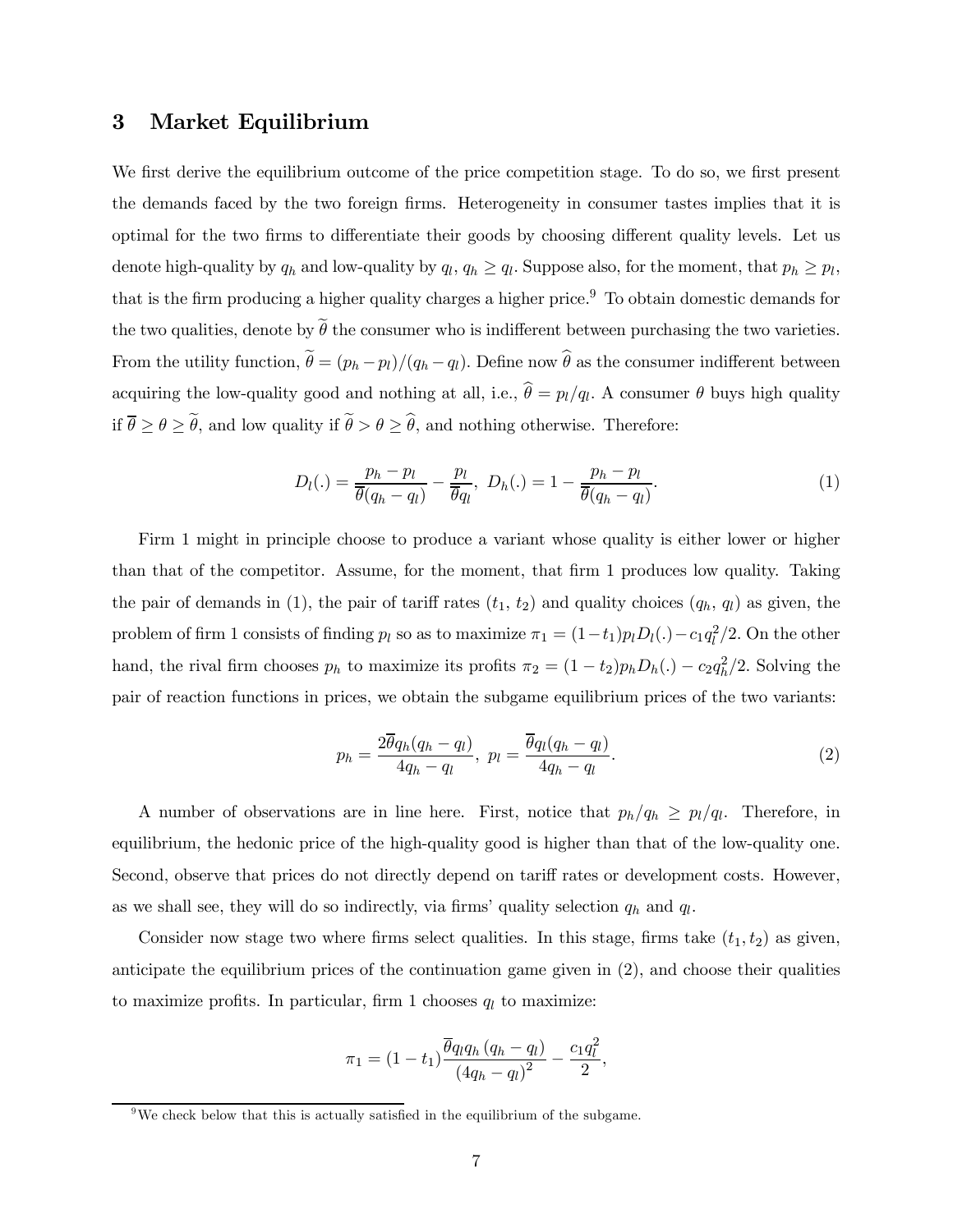## 3 Market Equilibrium

We first derive the equilibrium outcome of the price competition stage. To do so, we first present the demands faced by the two foreign firms. Heterogeneity in consumer tastes implies that it is optimal for the two firms to differentiate their goods by choosing different quality levels. Let us denote high-quality by  $q_h$  and low-quality by  $q_l$ ,  $q_h \ge q_l$ . Suppose also, for the moment, that  $p_h \ge p_l$ , that is the firm producing a higher quality charges a higher price.<sup>9</sup> To obtain domestic demands for the two qualities, denote by  $\tilde{\theta}$  the consumer who is indifferent between purchasing the two varieties. From the utility function,  $\tilde{\theta} = (p_h - p_l)/(q_h - q_l)$ . Define now  $\hat{\theta}$  as the consumer indifferent between acquiring the low-quality good and nothing at all, i.e.,  $\hat{\theta} = p_l/q_l$ . A consumer  $\theta$  buys high quality if  $\theta \ge \theta \ge \tilde{\theta}$ , and low quality if  $\tilde{\theta} > \theta \ge \hat{\theta}$ , and nothing otherwise. Therefore:

$$
D_l(.) = \frac{p_h - p_l}{\overline{\theta}(q_h - q_l)} - \frac{p_l}{\overline{\theta}q_l}, \ D_h(.) = 1 - \frac{p_h - p_l}{\overline{\theta}(q_h - q_l)}.
$$
 (1)

Firm 1 might in principle choose to produce a variant whose quality is either lower or higher than that of the competitor. Assume, for the moment, that firm 1 produces low quality. Taking the pair of demands in (1), the pair of tariff rates  $(t_1, t_2)$  and quality choices  $(q_h, q_l)$  as given, the problem of firm 1 consists of finding  $p_l$  so as to maximize  $\pi_1 = (1 - t_1)p_lD_l(.) - c_1q_l^2/2$ . On the other hand, the rival firm chooses  $p_h$  to maximize its profits  $\pi_2 = (1 - t_2)p_hD_h(.) - c_2q_h^2/2$ . Solving the pair of reaction functions in prices, we obtain the subgame equilibrium prices of the two variants:

$$
p_h = \frac{2\overline{\theta}q_h(q_h - q_l)}{4q_h - q_l}, \ p_l = \frac{\overline{\theta}q_l(q_h - q_l)}{4q_h - q_l}.
$$
\n
$$
(2)
$$

A number of observations are in line here. First, notice that  $p_h/q_h \geq p_l/q_l$ . Therefore, in equilibrium, the hedonic price of the high-quality good is higher than that of the low-quality one. Second, observe that prices do not directly depend on tariff rates or development costs. However, as we shall see, they will do so indirectly, via firms' quality selection  $q_h$  and  $q_l$ .

Consider now stage two where firms select qualities. In this stage, firms take  $(t_1, t_2)$  as given, anticipate the equilibrium prices of the continuation game given in (2), and choose their qualities to maximize profits. In particular, firm 1 chooses  $q_l$  to maximize:

$$
\pi_1 = (1 - t_1) \frac{\overline{\theta} q_l q_h (q_h - q_l)}{(4q_h - q_l)^2} - \frac{c_1 q_l^2}{2},
$$

<sup>&</sup>lt;sup>9</sup>We check below that this is actually satisfied in the equilibrium of the subgame.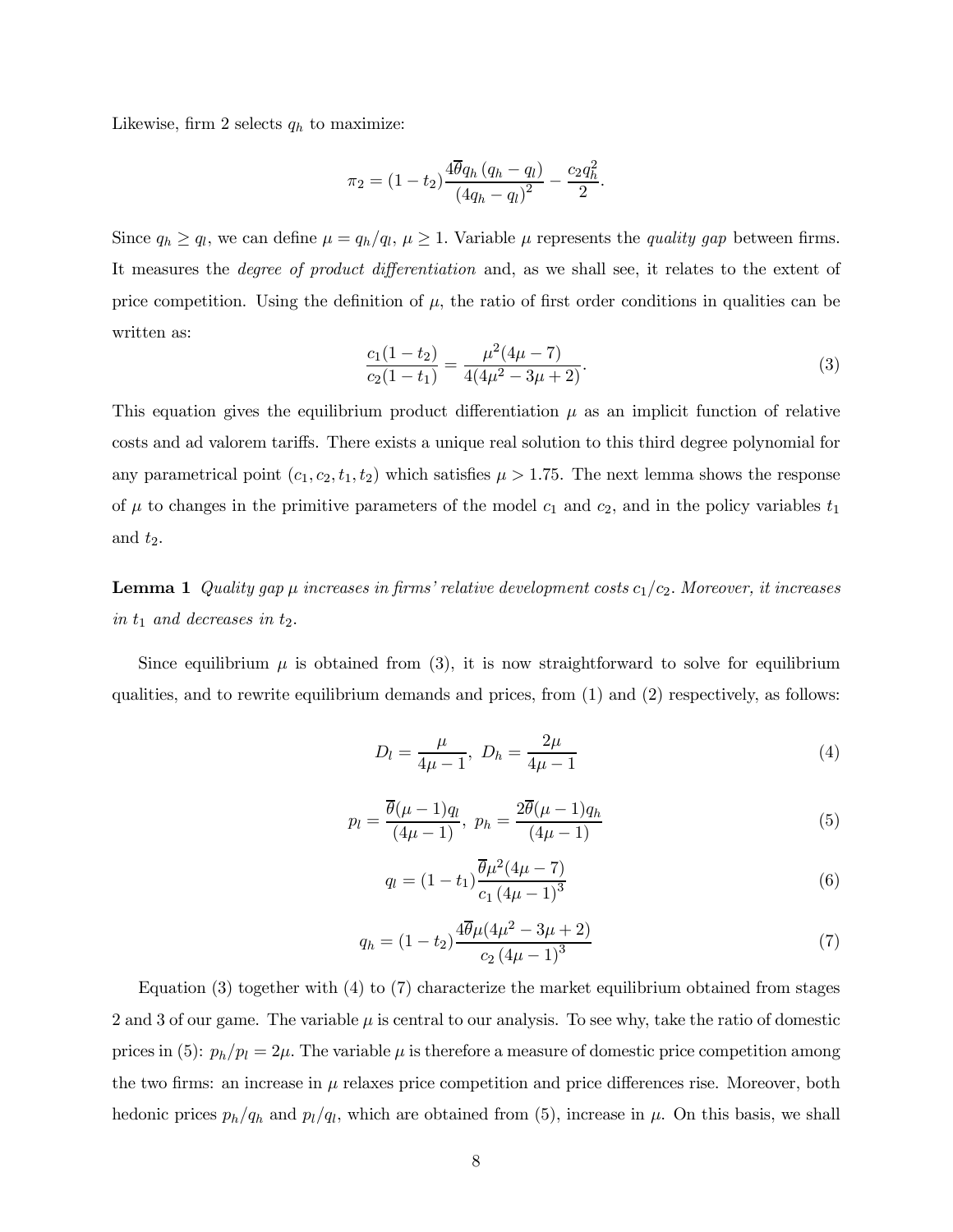Likewise, firm 2 selects  $q_h$  to maximize:

$$
\pi_2 = (1 - t_2) \frac{4 \overline{\theta} q_h (q_h - q_l)}{(4q_h - q_l)^2} - \frac{c_2 q_h^2}{2}.
$$

Since  $q_h \ge q_l$ , we can define  $\mu = q_h/q_l$ ,  $\mu \ge 1$ . Variable  $\mu$  represents the *quality gap* between firms. It measures the degree of product differentiation and, as we shall see, it relates to the extent of price competition. Using the definition of  $\mu$ , the ratio of first order conditions in qualities can be written as:

$$
\frac{c_1(1-t_2)}{c_2(1-t_1)} = \frac{\mu^2(4\mu - 7)}{4(4\mu^2 - 3\mu + 2)}.
$$
\n(3)

This equation gives the equilibrium product differentiation  $\mu$  as an implicit function of relative costs and ad valorem tariffs. There exists a unique real solution to this third degree polynomial for any parametrical point  $(c_1, c_2, t_1, t_2)$  which satisfies  $\mu > 1.75$ . The next lemma shows the response of  $\mu$  to changes in the primitive parameters of the model  $c_1$  and  $c_2$ , and in the policy variables  $t_1$ and  $t_2$ .

**Lemma 1** Quality gap  $\mu$  increases in firms' relative development costs  $c_1/c_2$ . Moreover, it increases in  $t_1$  and decreases in  $t_2$ .

Since equilibrium  $\mu$  is obtained from (3), it is now straightforward to solve for equilibrium qualities, and to rewrite equilibrium demands and prices, from (1) and (2) respectively, as follows:

$$
D_l = \frac{\mu}{4\mu - 1}, \ D_h = \frac{2\mu}{4\mu - 1} \tag{4}
$$

$$
p_l = \frac{\overline{\theta}(\mu - 1)q_l}{(4\mu - 1)}, \ p_h = \frac{2\overline{\theta}(\mu - 1)q_h}{(4\mu - 1)}
$$
(5)

$$
q_l = (1 - t_1) \frac{\overline{\theta} \mu^2 (4\mu - 7)}{c_1 (4\mu - 1)^3}
$$
\n(6)

$$
q_h = (1 - t_2) \frac{4\overline{\theta}\mu(4\mu^2 - 3\mu + 2)}{c_2 (4\mu - 1)^3}
$$
 (7)

Equation (3) together with (4) to (7) characterize the market equilibrium obtained from stages 2 and 3 of our game. The variable  $\mu$  is central to our analysis. To see why, take the ratio of domestic prices in (5):  $p_h/p_l = 2\mu$ . The variable  $\mu$  is therefore a measure of domestic price competition among the two firms: an increase in  $\mu$  relaxes price competition and price differences rise. Moreover, both hedonic prices  $p_h/q_h$  and  $p_l/q_l$ , which are obtained from (5), increase in  $\mu$ . On this basis, we shall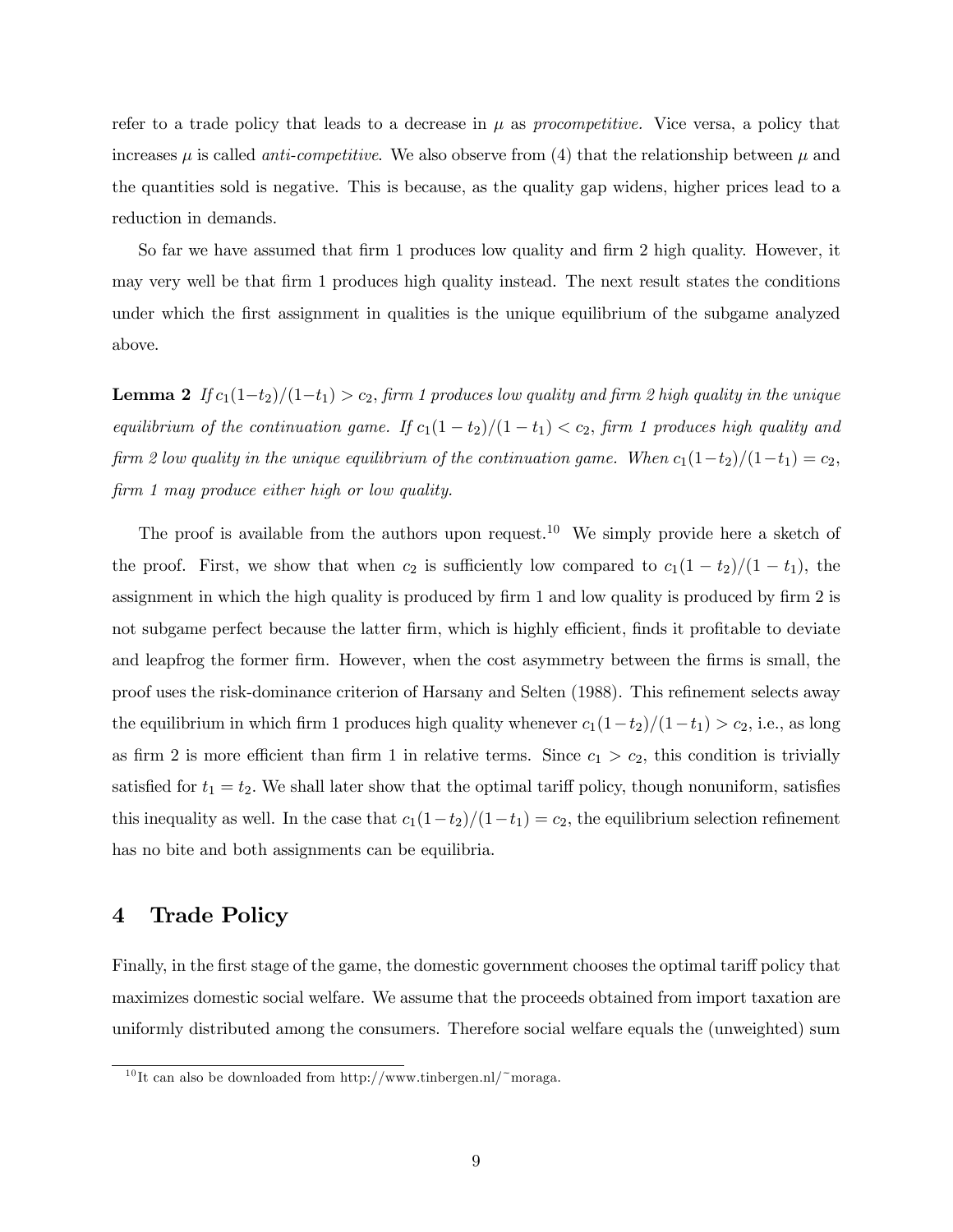refer to a trade policy that leads to a decrease in  $\mu$  as procompetitive. Vice versa, a policy that increases  $\mu$  is called *anti-competitive*. We also observe from (4) that the relationship between  $\mu$  and the quantities sold is negative. This is because, as the quality gap widens, higher prices lead to a reduction in demands.

So far we have assumed that firm 1 produces low quality and firm 2 high quality. However, it may very well be that firm 1 produces high quality instead. The next result states the conditions under which the first assignment in qualities is the unique equilibrium of the subgame analyzed above.

**Lemma 2** If  $c_1(1-t_2)/(1-t_1) > c_2$ , firm 1 produces low quality and firm 2 high quality in the unique equilibrium of the continuation game. If  $c_1(1-t_2)/(1-t_1) < c_2$ , firm 1 produces high quality and firm 2 low quality in the unique equilibrium of the continuation game. When  $c_1(1-t_2)/(1-t_1) = c_2$ , firm 1 may produce either high or low quality.

The proof is available from the authors upon request.<sup>10</sup> We simply provide here a sketch of the proof. First, we show that when  $c_2$  is sufficiently low compared to  $c_1(1-t_2)/(1-t_1)$ , the assignment in which the high quality is produced by firm 1 and low quality is produced by firm 2 is not subgame perfect because the latter firm, which is highly efficient, finds it profitable to deviate and leapfrog the former firm. However, when the cost asymmetry between the firms is small, the proof uses the risk-dominance criterion of Harsany and Selten (1988). This refinement selects away the equilibrium in which firm 1 produces high quality whenever  $c_1(1-t_2)/(1-t_1) > c_2$ , i.e., as long as firm 2 is more efficient than firm 1 in relative terms. Since  $c_1 > c_2$ , this condition is trivially satisfied for  $t_1 = t_2$ . We shall later show that the optimal tariff policy, though nonuniform, satisfies this inequality as well. In the case that  $c_1(1-t_2)/(1-t_1) = c_2$ , the equilibrium selection refinement has no bite and both assignments can be equilibria.

## 4 Trade Policy

Finally, in the first stage of the game, the domestic government chooses the optimal tariff policy that maximizes domestic social welfare. We assume that the proceeds obtained from import taxation are uniformly distributed among the consumers. Therefore social welfare equals the (unweighted) sum

 $^{10}$ It can also be downloaded from http://www.tinbergen.nl/~moraga.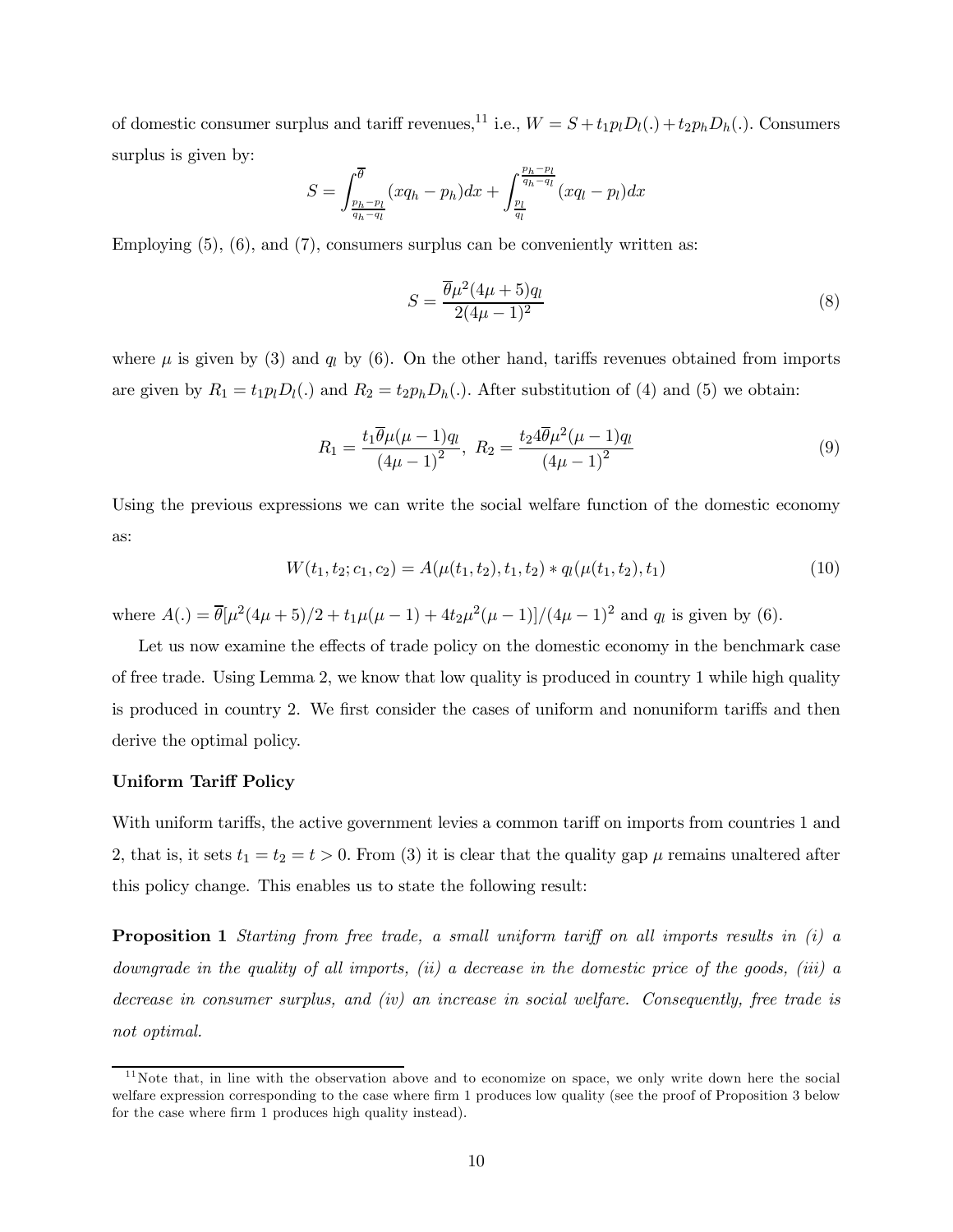of domestic consumer surplus and tariff revenues,<sup>11</sup> i.e.,  $W = S + t_1 p_l D_l(.) + t_2 p_h D_h(.)$ . Consumers surplus is given by:

$$
S = \int_{\frac{p_h - p_l}{q_h - q_l}}^{\overline{\theta}} (xq_h - p_h) dx + \int_{\frac{p_l}{q_l}}^{\frac{p_h - p_l}{q_h - q_l}} (xq_l - p_l) dx
$$

Employing  $(5)$ ,  $(6)$ , and  $(7)$ , consumers surplus can be conveniently written as:

$$
S = \frac{\overline{\theta}\mu^2(4\mu + 5)q_l}{2(4\mu - 1)^2}
$$
\n(8)

where  $\mu$  is given by (3) and  $q_l$  by (6). On the other hand, tariffs revenues obtained from imports are given by  $R_1 = t_1 p_l D_l(.)$  and  $R_2 = t_2 p_h D_h(.)$ . After substitution of (4) and (5) we obtain:

$$
R_1 = \frac{t_1 \overline{\theta} \mu (\mu - 1) q_l}{(4\mu - 1)^2}, \ R_2 = \frac{t_2 4 \overline{\theta} \mu^2 (\mu - 1) q_l}{(4\mu - 1)^2} \tag{9}
$$

Using the previous expressions we can write the social welfare function of the domestic economy as:

$$
W(t_1, t_2; c_1, c_2) = A(\mu(t_1, t_2), t_1, t_2) * q_l(\mu(t_1, t_2), t_1)
$$
\n
$$
(10)
$$

where  $A(.) = \overline{\theta}[\mu^2(4\mu+5)/2 + t_1\mu(\mu-1) + 4t_2\mu^2(\mu-1)]/(4\mu-1)^2$  and  $q_l$  is given by (6).

Let us now examine the effects of trade policy on the domestic economy in the benchmark case of free trade. Using Lemma 2, we know that low quality is produced in country 1 while high quality is produced in country 2. We first consider the cases of uniform and nonuniform tariffs and then derive the optimal policy.

#### Uniform Tariff Policy

With uniform tariffs, the active government levies a common tariff on imports from countries 1 and 2, that is, it sets  $t_1 = t_2 = t > 0$ . From (3) it is clear that the quality gap  $\mu$  remains unaltered after this policy change. This enables us to state the following result:

**Proposition 1** Starting from free trade, a small uniform tariff on all imports results in (i) a downgrade in the quality of all imports, (ii) a decrease in the domestic price of the goods, (iii) a decrease in consumer surplus, and (iv) an increase in social welfare. Consequently, free trade is not optimal.

 $11$ Note that, in line with the observation above and to economize on space, we only write down here the social welfare expression corresponding to the case where firm 1 produces low quality (see the proof of Proposition 3 below for the case where firm 1 produces high quality instead).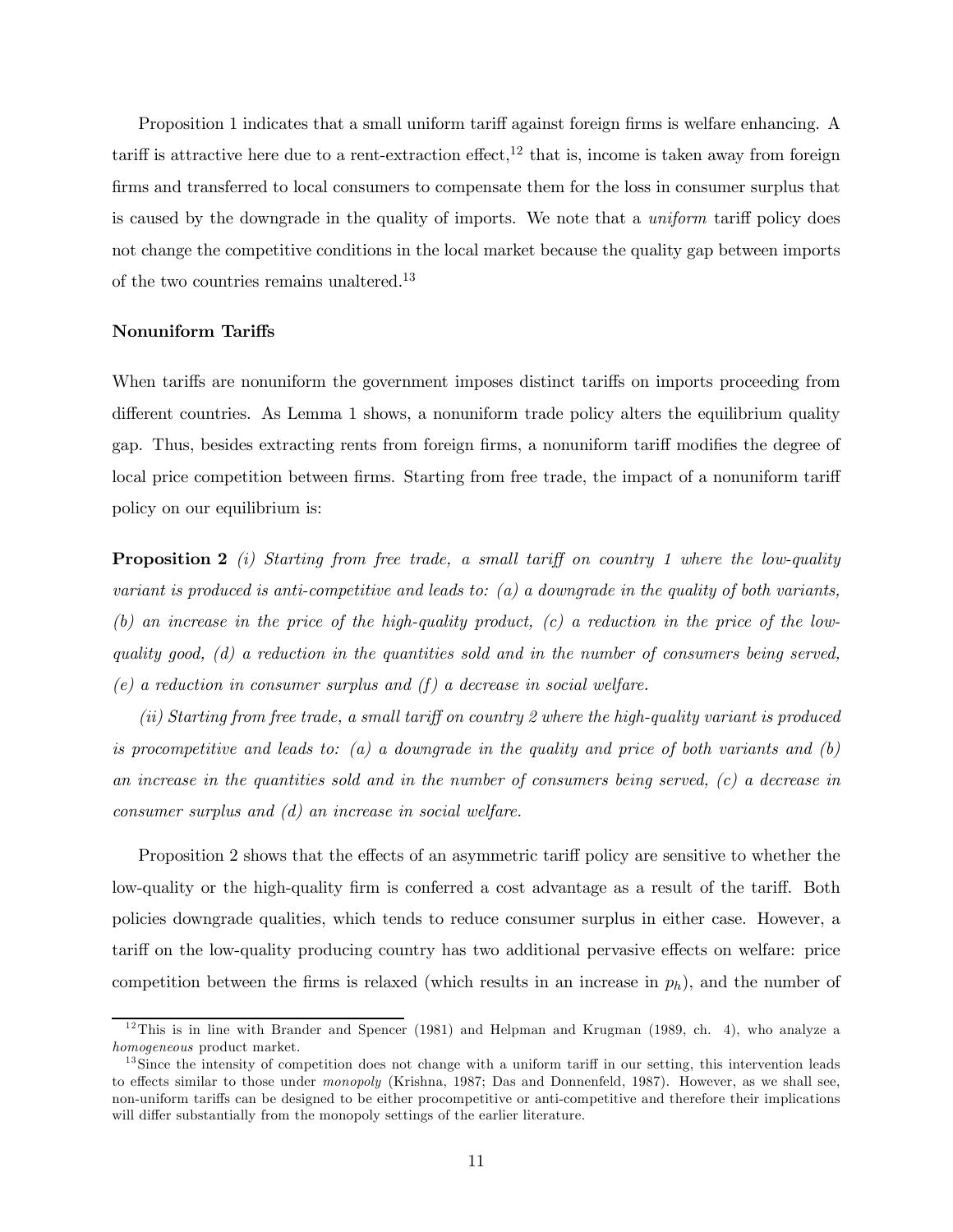Proposition 1 indicates that a small uniform tariff against foreign firms is welfare enhancing. A tariff is attractive here due to a rent-extraction effect,<sup>12</sup> that is, income is taken away from foreign firms and transferred to local consumers to compensate them for the loss in consumer surplus that is caused by the downgrade in the quality of imports. We note that a *uniform* tariff policy does not change the competitive conditions in the local market because the quality gap between imports of the two countries remains unaltered.13

#### Nonuniform Tariffs

When tariffs are nonuniform the government imposes distinct tariffs on imports proceeding from different countries. As Lemma 1 shows, a nonuniform trade policy alters the equilibrium quality gap. Thus, besides extracting rents from foreign firms, a nonuniform tariff modifies the degree of local price competition between firms. Starting from free trade, the impact of a nonuniform tariff policy on our equilibrium is:

**Proposition 2** (i) Starting from free trade, a small tariff on country 1 where the low-quality variant is produced is anti-competitive and leads to:  $(a)$  a downgrade in the quality of both variants, (b) an increase in the price of the high-quality product,  $(c)$  a reduction in the price of the lowquality good,  $(d)$  a reduction in the quantities sold and in the number of consumers being served, (e) a reduction in consumer surplus and  $(f)$  a decrease in social welfare.

(ii) Starting from free trade, a small tariff on country 2 where the high-quality variant is produced is procompetitive and leads to: (a) a downgrade in the quality and price of both variants and  $(b)$ an increase in the quantities sold and in the number of consumers being served, (c) a decrease in consumer surplus and (d) an increase in social welfare.

Proposition 2 shows that the effects of an asymmetric tariff policy are sensitive to whether the low-quality or the high-quality firm is conferred a cost advantage as a result of the tariff. Both policies downgrade qualities, which tends to reduce consumer surplus in either case. However, a tariff on the low-quality producing country has two additional pervasive effects on welfare: price competition between the firms is relaxed (which results in an increase in  $p_h$ ), and the number of

 $12$ This is in line with Brander and Spencer (1981) and Helpman and Krugman (1989, ch. 4), who analyze a homogeneous product market.

 $13\,\mathrm{Since}$  the intensity of competition does not change with a uniform tariff in our setting, this intervention leads to effects similar to those under monopoly (Krishna, 1987; Das and Donnenfeld, 1987). However, as we shall see, non-uniform tariffs can be designed to be either procompetitive or anti-competitive and therefore their implications will differ substantially from the monopoly settings of the earlier literature.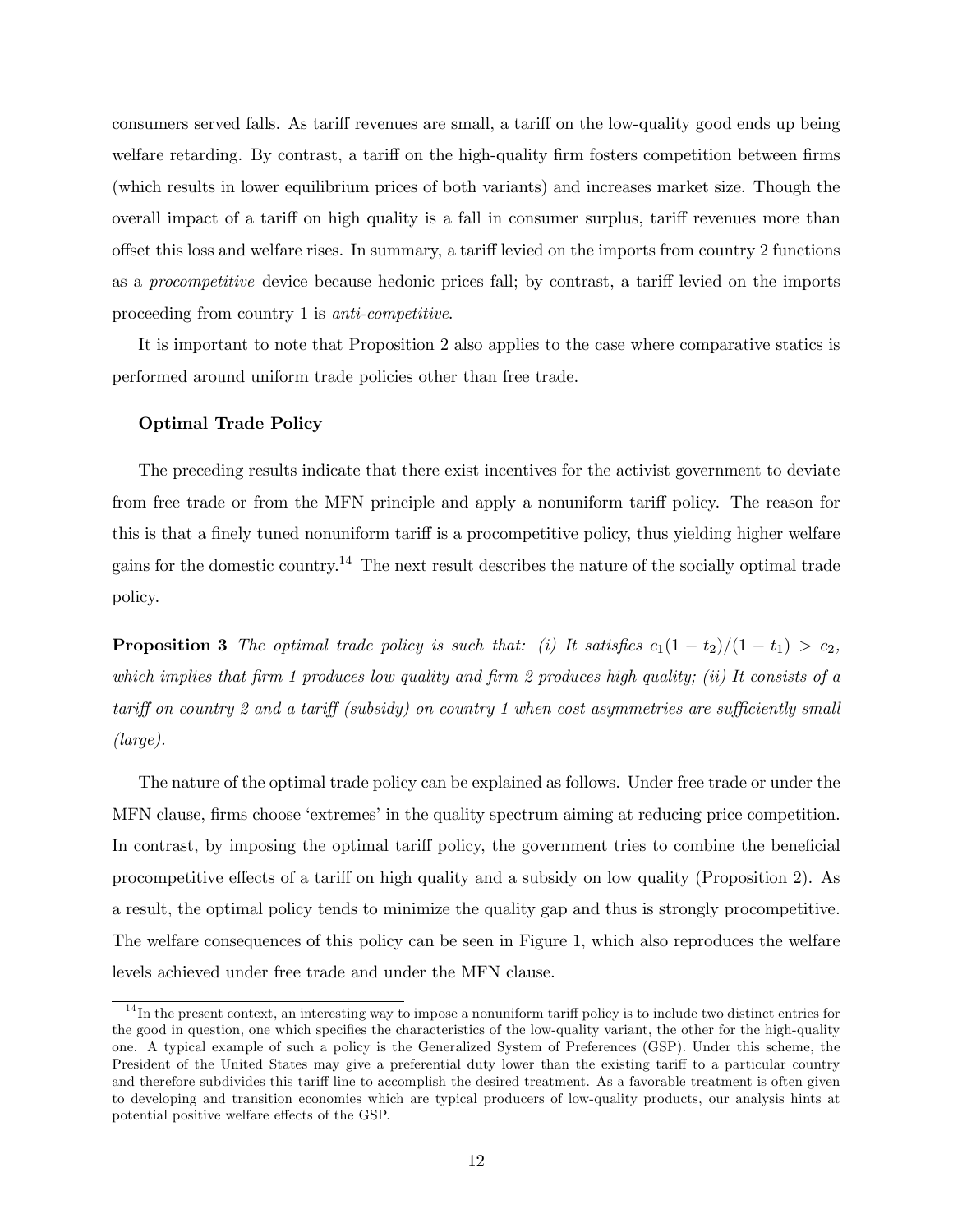consumers served falls. As tariff revenues are small, a tariff on the low-quality good ends up being welfare retarding. By contrast, a tariff on the high-quality firm fosters competition between firms (which results in lower equilibrium prices of both variants) and increases market size. Though the overall impact of a tariff on high quality is a fall in consumer surplus, tariff revenues more than offset this loss and welfare rises. In summary, a tariff levied on the imports from country 2 functions as a procompetitive device because hedonic prices fall; by contrast, a tariff levied on the imports proceeding from country 1 is anti-competitive.

It is important to note that Proposition 2 also applies to the case where comparative statics is performed around uniform trade policies other than free trade.

#### Optimal Trade Policy

The preceding results indicate that there exist incentives for the activist government to deviate from free trade or from the MFN principle and apply a nonuniform tariff policy. The reason for this is that a finely tuned nonuniform tariff is a procompetitive policy, thus yielding higher welfare gains for the domestic country.<sup>14</sup> The next result describes the nature of the socially optimal trade policy.

**Proposition 3** The optimal trade policy is such that: (i) It satisfies  $c_1(1-t_2)/(1-t_1) > c_2$ , which implies that firm 1 produces low quality and firm 2 produces high quality; (ii) It consists of a tariff on country 2 and a tariff (subsidy) on country 1 when cost asymmetries are sufficiently small (large).

The nature of the optimal trade policy can be explained as follows. Under free trade or under the MFN clause, firms choose 'extremes' in the quality spectrum aiming at reducing price competition. In contrast, by imposing the optimal tariff policy, the government tries to combine the beneficial procompetitive effects of a tariff on high quality and a subsidy on low quality (Proposition 2). As a result, the optimal policy tends to minimize the quality gap and thus is strongly procompetitive. The welfare consequences of this policy can be seen in Figure 1, which also reproduces the welfare levels achieved under free trade and under the MFN clause.

 $14$ In the present context, an interesting way to impose a nonuniform tariff policy is to include two distinct entries for the good in question, one which specifies the characteristics of the low-quality variant, the other for the high-quality one. A typical example of such a policy is the Generalized System of Preferences (GSP). Under this scheme, the President of the United States may give a preferential duty lower than the existing tariff to a particular country and therefore subdivides this tariff line to accomplish the desired treatment. As a favorable treatment is often given to developing and transition economies which are typical producers of low-quality products, our analysis hints at potential positive welfare effects of the GSP.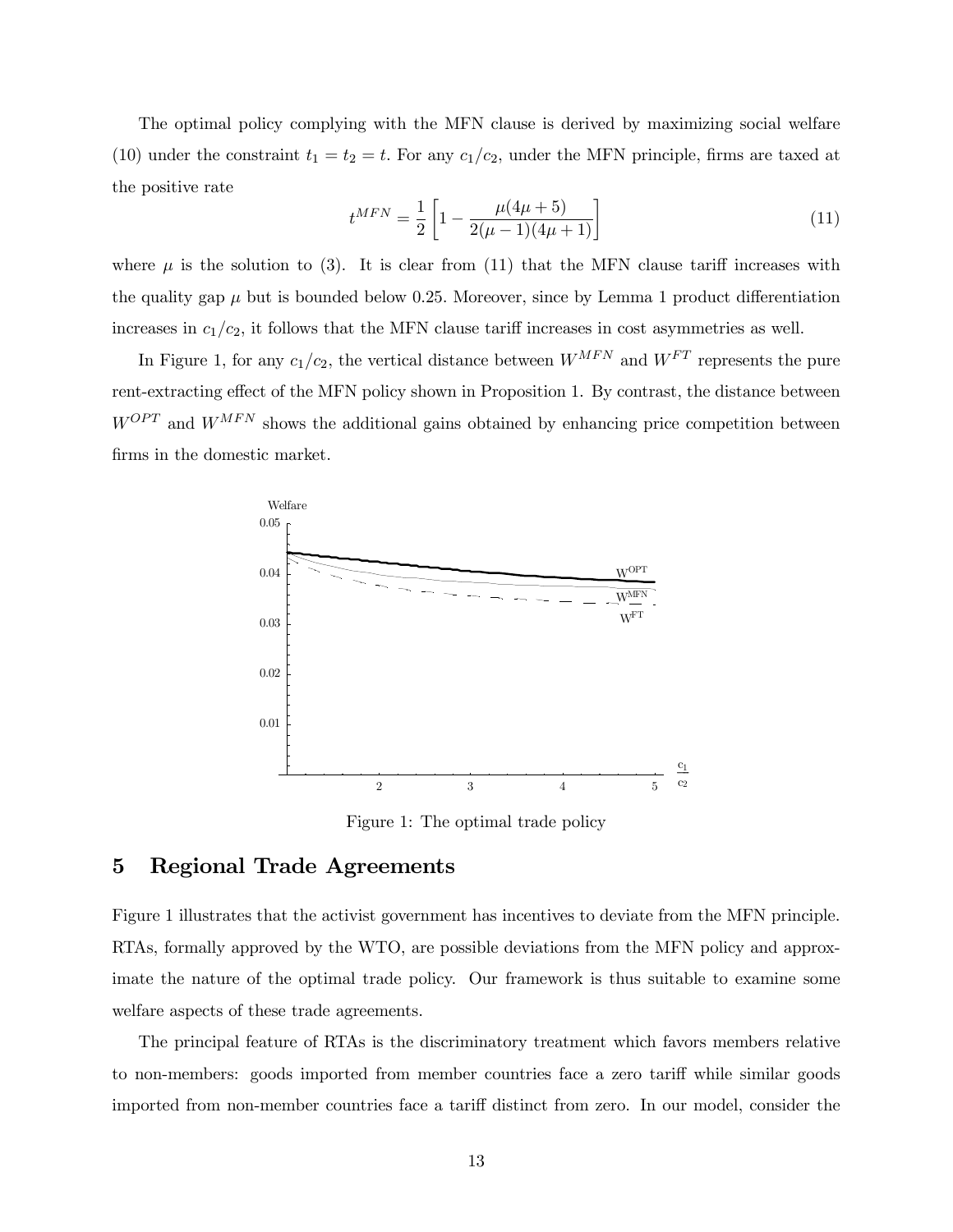The optimal policy complying with the MFN clause is derived by maximizing social welfare (10) under the constraint  $t_1 = t_2 = t$ . For any  $c_1/c_2$ , under the MFN principle, firms are taxed at the positive rate

$$
t^{MFN} = \frac{1}{2} \left[ 1 - \frac{\mu(4\mu + 5)}{2(\mu - 1)(4\mu + 1)} \right] \tag{11}
$$

where  $\mu$  is the solution to (3). It is clear from (11) that the MFN clause tariff increases with the quality gap  $\mu$  but is bounded below 0.25. Moreover, since by Lemma 1 product differentiation increases in  $c_1/c_2$ , it follows that the MFN clause tariff increases in cost asymmetries as well.

In Figure 1, for any  $c_1/c_2$ , the vertical distance between  $W^{MFN}$  and  $W^{FT}$  represents the pure rent-extracting effect of the MFN policy shown in Proposition 1. By contrast, the distance between  $W^{OPT}$  and  $W^{MFN}$  shows the additional gains obtained by enhancing price competition between firms in the domestic market.



Figure 1: The optimal trade policy

# 5 Regional Trade Agreements

Figure 1 illustrates that the activist government has incentives to deviate from the MFN principle. RTAs, formally approved by the WTO, are possible deviations from the MFN policy and approximate the nature of the optimal trade policy. Our framework is thus suitable to examine some welfare aspects of these trade agreements.

The principal feature of RTAs is the discriminatory treatment which favors members relative to non-members: goods imported from member countries face a zero tariff while similar goods imported from non-member countries face a tariff distinct from zero. In our model, consider the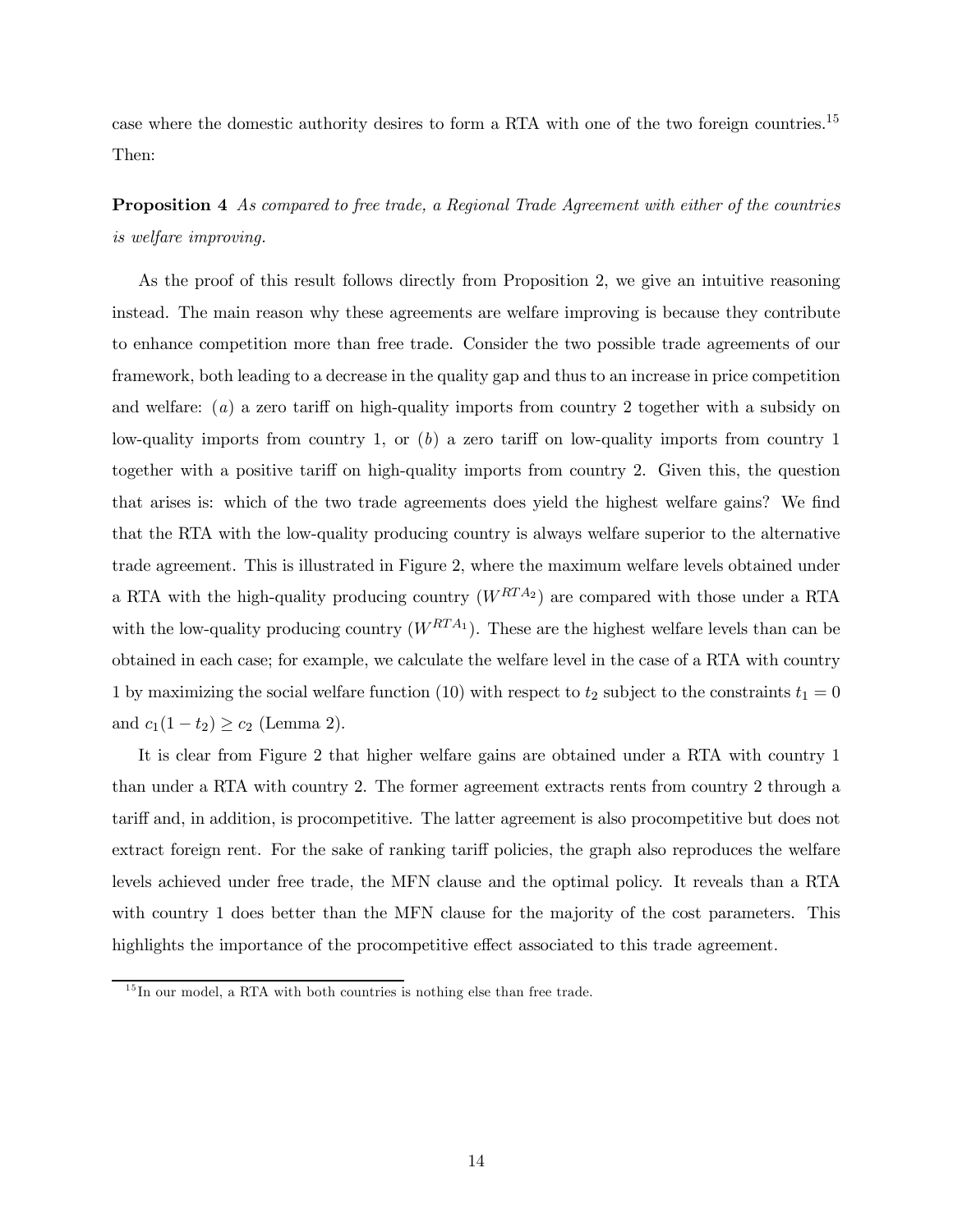case where the domestic authority desires to form a RTA with one of the two foreign countries.15 Then:

Proposition 4 As compared to free trade, a Regional Trade Agreement with either of the countries is welfare improving.

As the proof of this result follows directly from Proposition 2, we give an intuitive reasoning instead. The main reason why these agreements are welfare improving is because they contribute to enhance competition more than free trade. Consider the two possible trade agreements of our framework, both leading to a decrease in the quality gap and thus to an increase in price competition and welfare: (a) a zero tariff on high-quality imports from country 2 together with a subsidy on low-quality imports from country 1, or  $(b)$  a zero tariff on low-quality imports from country 1 together with a positive tariff on high-quality imports from country 2. Given this, the question that arises is: which of the two trade agreements does yield the highest welfare gains? We find that the RTA with the low-quality producing country is always welfare superior to the alternative trade agreement. This is illustrated in Figure 2, where the maximum welfare levels obtained under a RTA with the high-quality producing country  $(W^{RTA_2})$  are compared with those under a RTA with the low-quality producing country  $(W^{RTA_1})$ . These are the highest welfare levels than can be obtained in each case; for example, we calculate the welfare level in the case of a RTA with country 1 by maximizing the social welfare function (10) with respect to  $t_2$  subject to the constraints  $t_1 = 0$ and  $c_1(1-t_2) \ge c_2$  (Lemma 2).

It is clear from Figure 2 that higher welfare gains are obtained under a RTA with country 1 than under a RTA with country 2. The former agreement extracts rents from country 2 through a tariff and, in addition, is procompetitive. The latter agreement is also procompetitive but does not extract foreign rent. For the sake of ranking tariff policies, the graph also reproduces the welfare levels achieved under free trade, the MFN clause and the optimal policy. It reveals than a RTA with country 1 does better than the MFN clause for the majority of the cost parameters. This highlights the importance of the procompetitive effect associated to this trade agreement.

 $15$  In our model, a RTA with both countries is nothing else than free trade.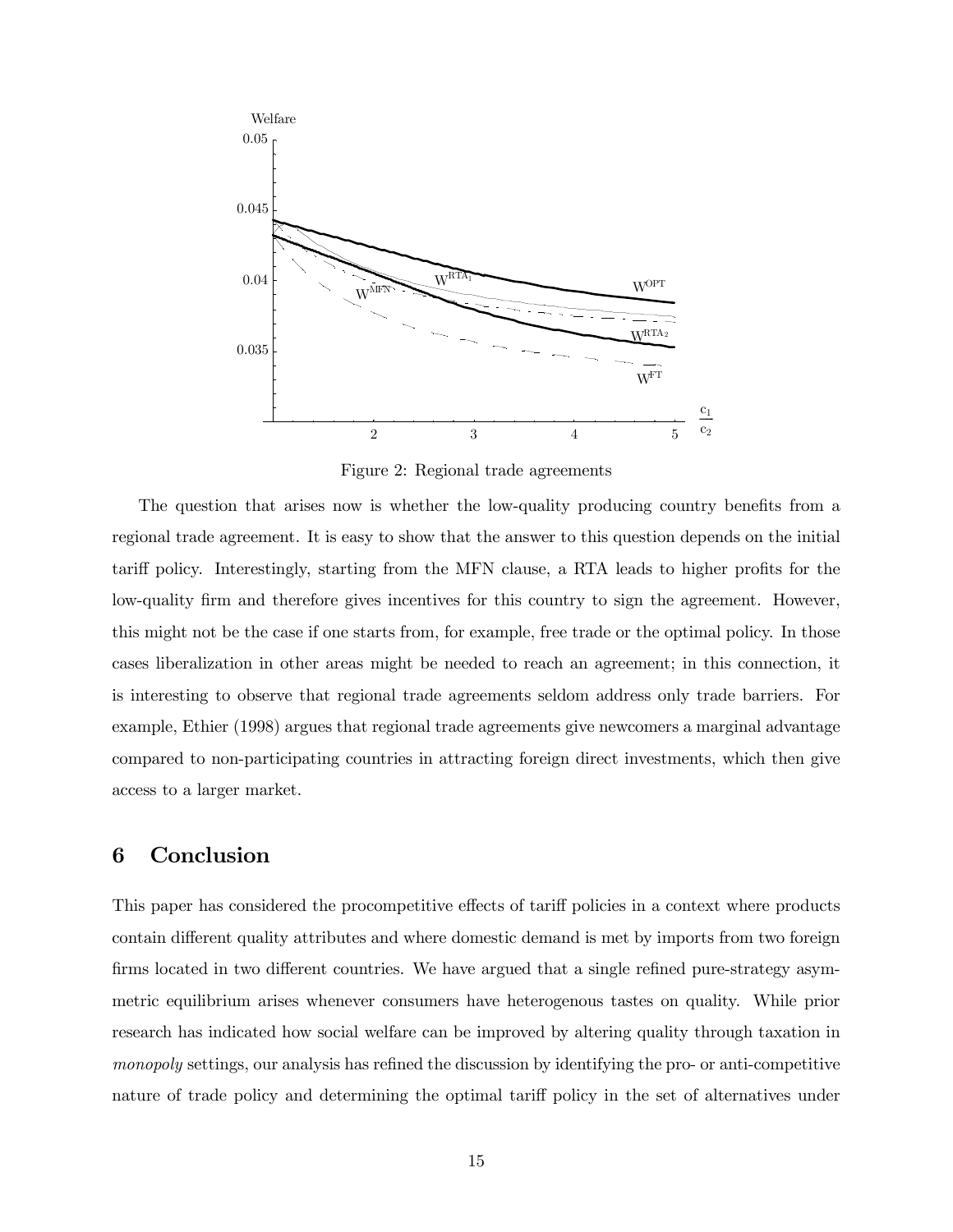

Figure 2: Regional trade agreements

The question that arises now is whether the low-quality producing country benefits from a regional trade agreement. It is easy to show that the answer to this question depends on the initial tariff policy. Interestingly, starting from the MFN clause, a RTA leads to higher profits for the low-quality firm and therefore gives incentives for this country to sign the agreement. However, this might not be the case if one starts from, for example, free trade or the optimal policy. In those cases liberalization in other areas might be needed to reach an agreement; in this connection, it is interesting to observe that regional trade agreements seldom address only trade barriers. For example, Ethier (1998) argues that regional trade agreements give newcomers a marginal advantage compared to non-participating countries in attracting foreign direct investments, which then give access to a larger market.

## 6 Conclusion

This paper has considered the procompetitive effects of tariff policies in a context where products contain different quality attributes and where domestic demand is met by imports from two foreign firms located in two different countries. We have argued that a single refined pure-strategy asymmetric equilibrium arises whenever consumers have heterogenous tastes on quality. While prior research has indicated how social welfare can be improved by altering quality through taxation in monopoly settings, our analysis has refined the discussion by identifying the pro- or anti-competitive nature of trade policy and determining the optimal tariff policy in the set of alternatives under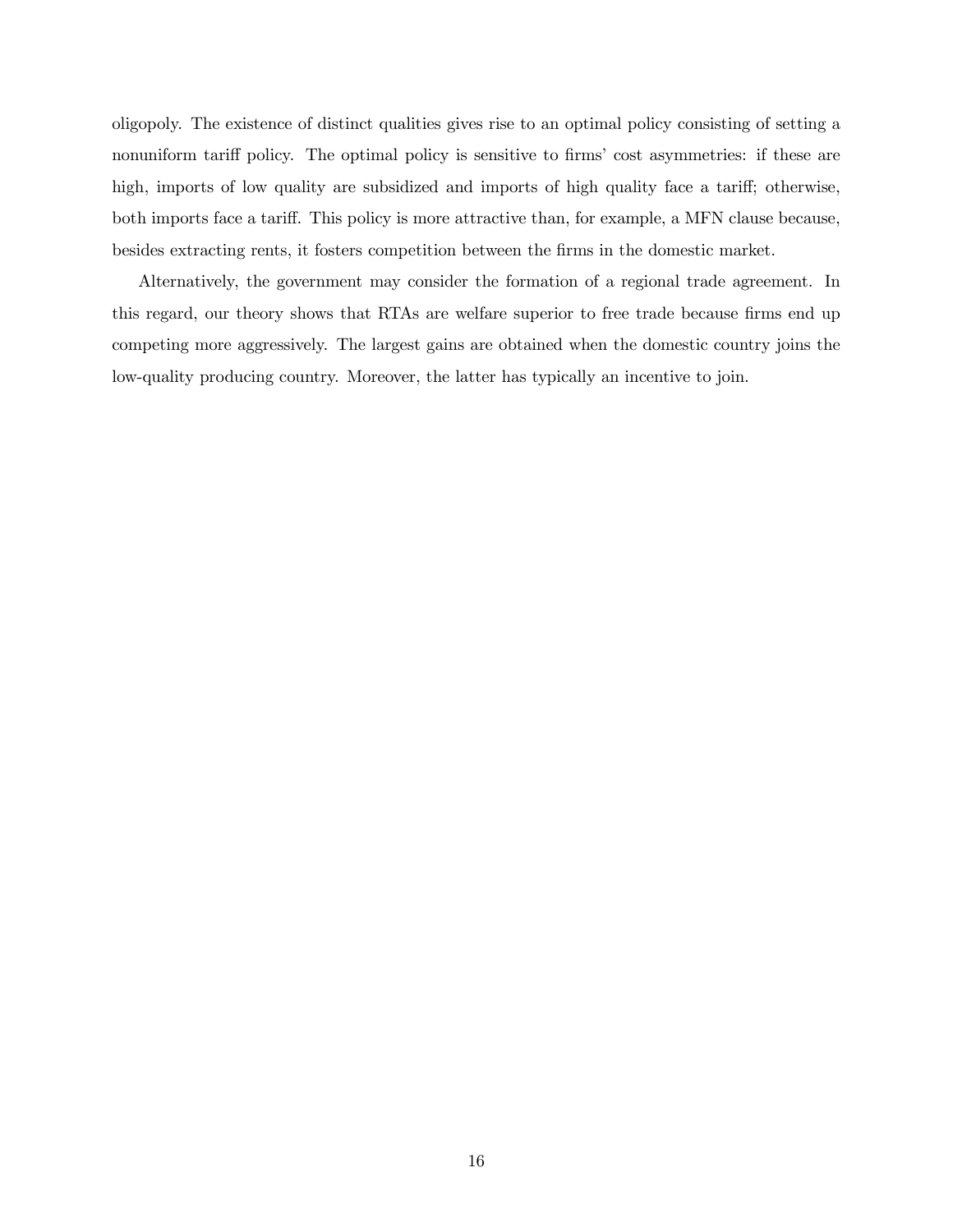oligopoly. The existence of distinct qualities gives rise to an optimal policy consisting of setting a nonuniform tariff policy. The optimal policy is sensitive to firms' cost asymmetries: if these are high, imports of low quality are subsidized and imports of high quality face a tariff; otherwise, both imports face a tariff. This policy is more attractive than, for example, a MFN clause because, besides extracting rents, it fosters competition between the firms in the domestic market.

Alternatively, the government may consider the formation of a regional trade agreement. In this regard, our theory shows that RTAs are welfare superior to free trade because firms end up competing more aggressively. The largest gains are obtained when the domestic country joins the low-quality producing country. Moreover, the latter has typically an incentive to join.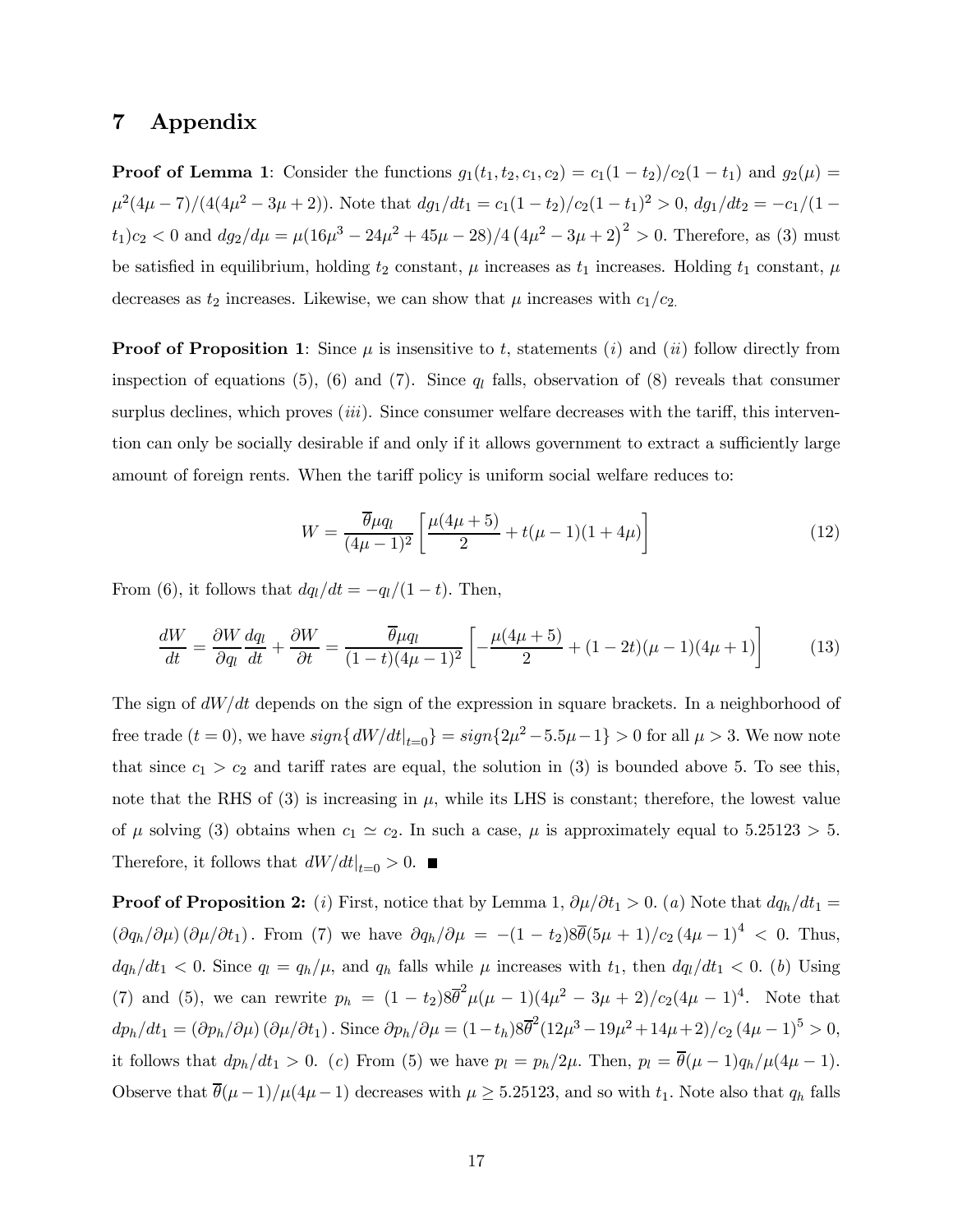## 7 Appendix

**Proof of Lemma 1:** Consider the functions  $g_1(t_1, t_2, c_1, c_2) = c_1(1 - t_2)/c_2(1 - t_1)$  and  $g_2(\mu) =$  $\mu^2(4\mu-7)/(4(4\mu^2-3\mu+2))$ . Note that  $dg_1/dt_1 = c_1(1-t_2)/c_2(1-t_1)^2 > 0$ ,  $dg_1/dt_2 = -c_1/(1-t_2)/c_2$  $(t_1)c_2 < 0$  and  $dg_2/d\mu = \mu(16\mu^3 - 24\mu^2 + 45\mu - 28)/4(4\mu^2 - 3\mu + 2)^2 > 0$ . Therefore, as (3) must be satisfied in equilibrium, holding  $t_2$  constant,  $\mu$  increases as  $t_1$  increases. Holding  $t_1$  constant,  $\mu$ decreases as  $t_2$  increases. Likewise, we can show that  $\mu$  increases with  $c_1/c_2$ .

**Proof of Proposition 1:** Since  $\mu$  is insensitive to t, statements (i) and (ii) follow directly from inspection of equations (5), (6) and (7). Since  $q_l$  falls, observation of (8) reveals that consumer surplus declines, which proves  $(iii)$ . Since consumer welfare decreases with the tariff, this intervention can only be socially desirable if and only if it allows government to extract a sufficiently large amount of foreign rents. When the tariff policy is uniform social welfare reduces to:

$$
W = \frac{\overline{\theta}\mu q_l}{(4\mu - 1)^2} \left[ \frac{\mu(4\mu + 5)}{2} + t(\mu - 1)(1 + 4\mu) \right]
$$
(12)

From (6), it follows that  $dq_l/dt = -q_l/(1-t)$ . Then,

$$
\frac{dW}{dt} = \frac{\partial W}{\partial q_l} \frac{dq_l}{dt} + \frac{\partial W}{\partial t} = \frac{\overline{\theta}\mu q_l}{(1-t)(4\mu - 1)^2} \left[ -\frac{\mu(4\mu + 5)}{2} + (1 - 2t)(\mu - 1)(4\mu + 1) \right] \tag{13}
$$

The sign of  $dW/dt$  depends on the sign of the expression in square brackets. In a neighborhood of free trade  $(t = 0)$ , we have  $sign\{dW/dt|_{t=0}\} = sign\{2\mu^2 - 5.5\mu - 1\} > 0$  for all  $\mu > 3$ . We now note that since  $c_1 > c_2$  and tariff rates are equal, the solution in (3) is bounded above 5. To see this, note that the RHS of (3) is increasing in  $\mu$ , while its LHS is constant; therefore, the lowest value of  $\mu$  solving (3) obtains when  $c_1 \simeq c_2$ . In such a case,  $\mu$  is approximately equal to 5.25123 > 5. Therefore, it follows that  $\left. dW/dt \right|_{t=0} > 0$ .

**Proof of Proposition 2:** (i) First, notice that by Lemma 1,  $\partial \mu / \partial t_1 > 0$ . (a) Note that  $dq_h / dt_1 =$  $(\partial q_h/\partial \mu) (\partial \mu/\partial t_1)$ . From (7) we have  $\partial q_h/\partial \mu = -(1-t_2)8\overline{\theta}(5\mu+1)/c_2(4\mu-1)^4 < 0$ . Thus,  $dq_h/dt_1 < 0$ . Since  $q_l = q_h/\mu$ , and  $q_h$  falls while  $\mu$  increases with  $t_1$ , then  $dq_l/dt_1 < 0$ . (b) Using (7) and (5), we can rewrite  $p_h = (1 - t_2)8\bar{\theta}^2 \mu(\mu - 1)(4\mu^2 - 3\mu + 2)/c_2(4\mu - 1)^4$ . Note that  $dp_h/dt_1 = (\partial p_h/\partial \mu) (\partial \mu/\partial t_1)$ . Since  $\partial p_h/\partial \mu = (1 - t_h) 8\overline{\theta}^2 (12\mu^3 - 19\mu^2 + 14\mu + 2)/c_2 (4\mu - 1)^5 > 0$ , it follows that  $dp_h/dt_1 > 0$ . (c) From (5) we have  $p_l = p_h/2\mu$ . Then,  $p_l = \overline{\theta}(\mu - 1)q_h/\mu(4\mu - 1)$ . Observe that  $\bar{\theta}(\mu-1)/\mu(4\mu-1)$  decreases with  $\mu \geq 5.25123$ , and so with  $t_1$ . Note also that  $q_h$  falls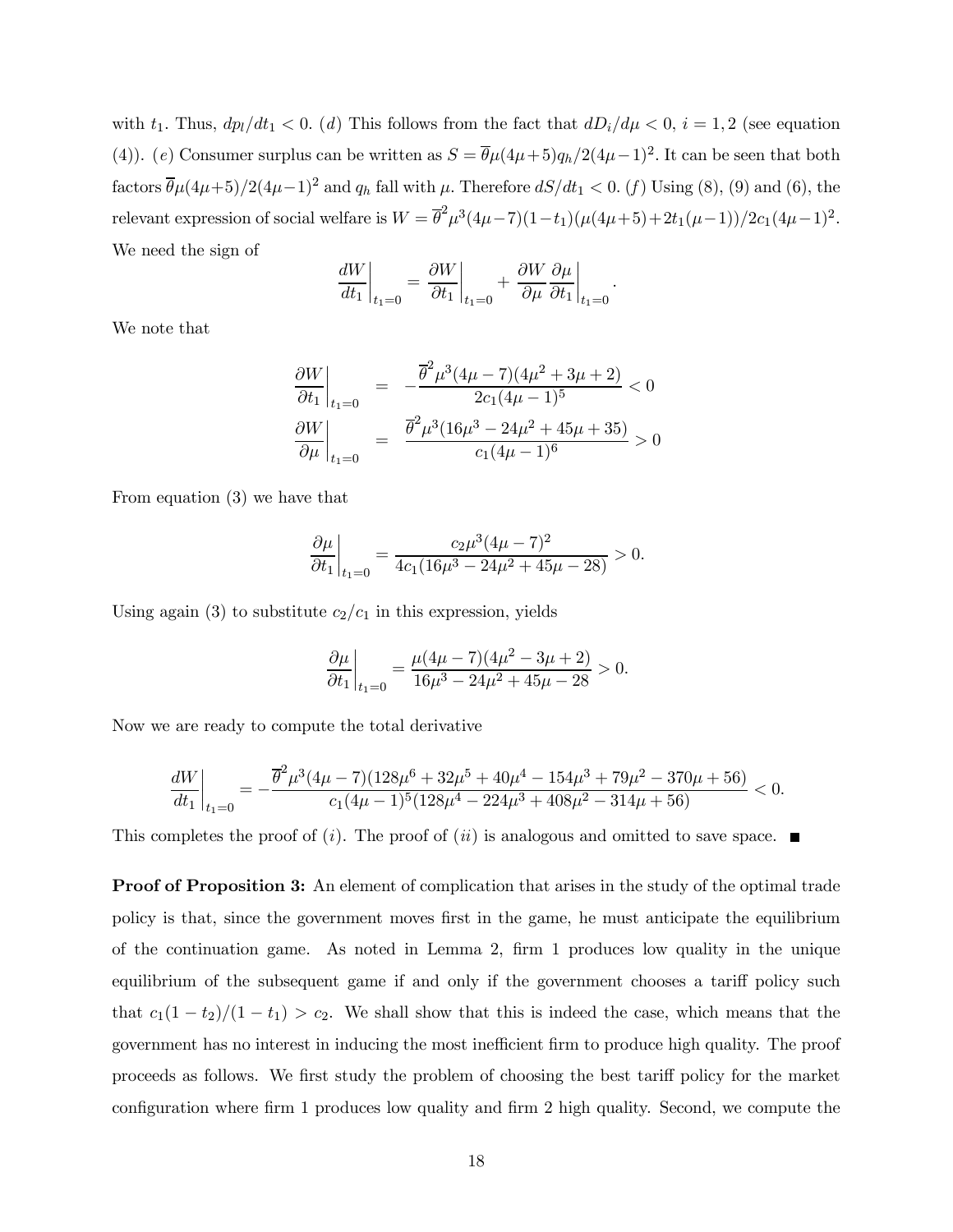with  $t_1$ . Thus,  $dp_l/dt_1 < 0$ . (d) This follows from the fact that  $dD_i/d\mu < 0$ ,  $i = 1, 2$  (see equation (4)). (e) Consumer surplus can be written as  $S = \overline{\theta}\mu(4\mu+5)q_h/2(4\mu-1)^2$ . It can be seen that both factors  $\bar{\theta}\mu(4\mu+5)/2(4\mu-1)^2$  and  $q_h$  fall with  $\mu$ . Therefore  $dS/dt_1 < 0$ . (f) Using (8), (9) and (6), the relevant expression of social welfare is  $W = \bar{\theta}^2 \mu^3 (4\mu - 7)(1 - t_1)(\mu(4\mu + 5) + 2t_1(\mu - 1))/2c_1(4\mu - 1)^2$ . We need the sign of

$$
\left. \frac{dW}{dt_1} \right|_{t_1=0} = \left. \frac{\partial W}{\partial t_1} \right|_{t_1=0} + \left. \frac{\partial W}{\partial \mu} \frac{\partial \mu}{\partial t_1} \right|_{t_1=0}.
$$

We note that

$$
\left. \frac{\partial W}{\partial t_1} \right|_{t_1=0} = -\frac{\overline{\theta}^2 \mu^3 (4\mu - 7)(4\mu^2 + 3\mu + 2)}{2c_1 (4\mu - 1)^5} < 0
$$
  

$$
\left. \frac{\partial W}{\partial \mu} \right|_{t_1=0} = \left. \frac{\overline{\theta}^2 \mu^3 (16\mu^3 - 24\mu^2 + 45\mu + 35)}{c_1 (4\mu - 1)^6} > 0
$$

From equation (3) we have that

$$
\left.\frac{\partial \mu}{\partial t_1}\right|_{t_1=0} = \frac{c_2 \mu^3 (4 \mu-7)^2}{4c_1(16 \mu^3 - 24 \mu^2 + 45 \mu - 28)} > 0.
$$

Using again (3) to substitute  $c_2/c_1$  in this expression, yields

$$
\frac{\partial \mu}{\partial t_1}\bigg|_{t_1=0} = \frac{\mu(4\mu-7)(4\mu^2-3\mu+2)}{16\mu^3-24\mu^2+45\mu-28} > 0.
$$

Now we are ready to compute the total derivative

$$
\frac{dW}{dt_1}\bigg|_{t_1=0}=-\frac{\overline{\theta}^2\mu^3(4\mu-7)(128\mu^6+32\mu^5+40\mu^4-154\mu^3+79\mu^2-370\mu+56)}{c_1(4\mu-1)^5(128\mu^4-224\mu^3+408\mu^2-314\mu+56)}<0.
$$

This completes the proof of (*i*). The proof of (*ii*) is analogous and omitted to save space.

**Proof of Proposition 3:** An element of complication that arises in the study of the optimal trade policy is that, since the government moves first in the game, he must anticipate the equilibrium of the continuation game. As noted in Lemma 2, firm 1 produces low quality in the unique equilibrium of the subsequent game if and only if the government chooses a tariff policy such that  $c_1(1-t_2)/(1-t_1) > c_2$ . We shall show that this is indeed the case, which means that the government has no interest in inducing the most inefficient firm to produce high quality. The proof proceeds as follows. We first study the problem of choosing the best tariff policy for the market configuration where firm 1 produces low quality and firm 2 high quality. Second, we compute the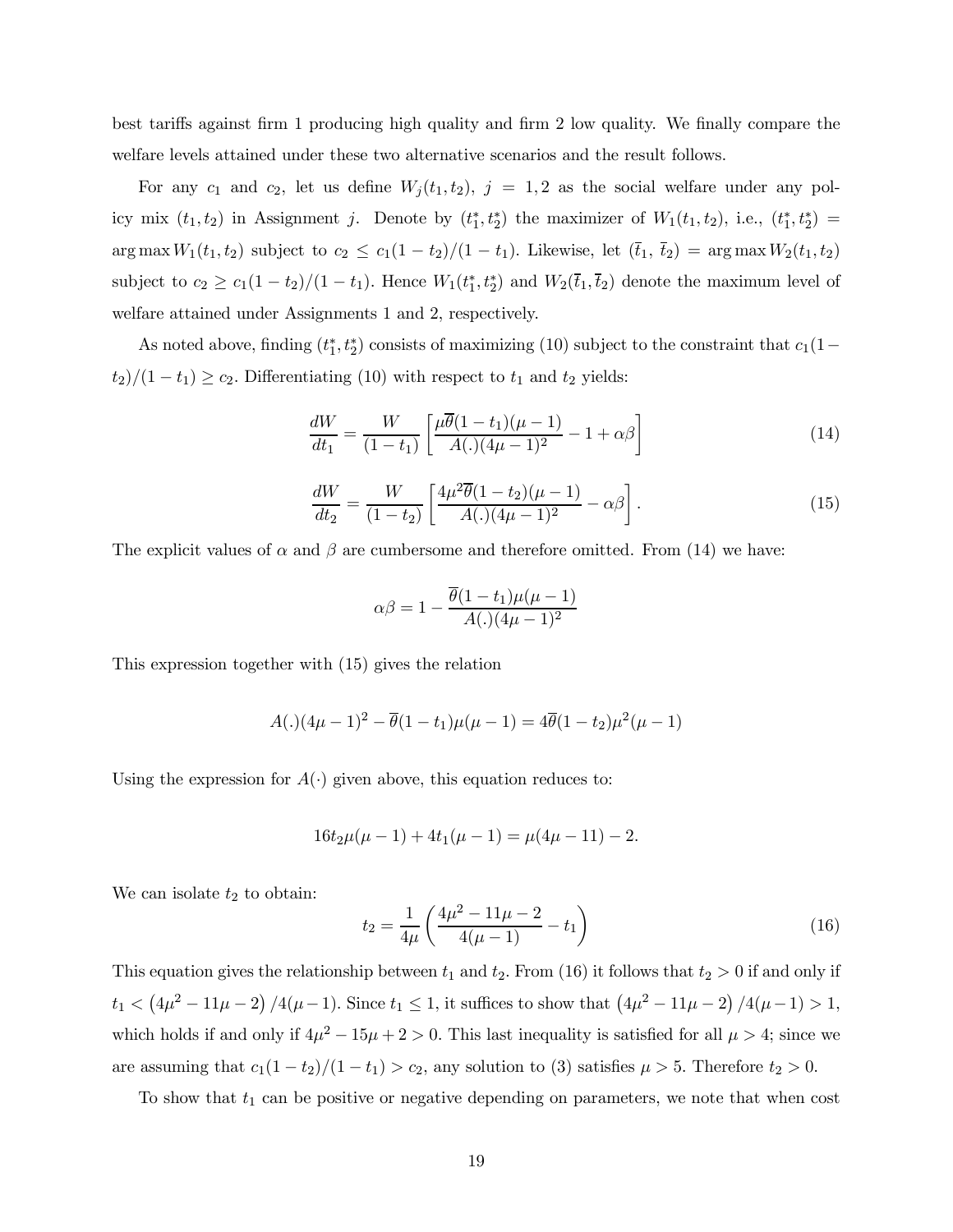best tariffs against firm 1 producing high quality and firm 2 low quality. We finally compare the welfare levels attained under these two alternative scenarios and the result follows.

For any  $c_1$  and  $c_2$ , let us define  $W_j(t_1, t_2)$ ,  $j = 1, 2$  as the social welfare under any policy mix  $(t_1, t_2)$  in Assignment j. Denote by  $(t_1^*, t_2^*)$  the maximizer of  $W_1(t_1, t_2)$ , i.e.,  $(t_1^*, t_2^*)$  = arg max  $W_1(t_1, t_2)$  subject to  $c_2 \le c_1(1 - t_2)/(1 - t_1)$ . Likewise, let  $(\bar{t}_1, \bar{t}_2) = \arg \max W_2(t_1, t_2)$ subject to  $c_2 \geq c_1(1-t_2)/(1-t_1)$ . Hence  $W_1(t_1^*, t_2^*)$  and  $W_2(\bar{t}_1, \bar{t}_2)$  denote the maximum level of welfare attained under Assignments 1 and 2, respectively.

As noted above, finding  $(t_1^*, t_2^*)$  consists of maximizing (10) subject to the constraint that  $c_1(1-\)$  $(t_2)/(1-t_1) \ge c_2$ . Differentiating (10) with respect to  $t_1$  and  $t_2$  yields:

$$
\frac{dW}{dt_1} = \frac{W}{(1-t_1)} \left[ \frac{\mu \overline{\theta} (1-t_1)(\mu - 1)}{A(.) (4\mu - 1)^2} - 1 + \alpha \beta \right]
$$
(14)

$$
\frac{dW}{dt_2} = \frac{W}{(1-t_2)} \left[ \frac{4\mu^2 \overline{\theta} (1-t_2)(\mu - 1)}{A(.) (4\mu - 1)^2} - \alpha \beta \right].
$$
\n(15)

The explicit values of  $\alpha$  and  $\beta$  are cumbersome and therefore omitted. From (14) we have:

$$
\alpha \beta = 1 - \frac{\overline{\theta}(1 - t_1)\mu(\mu - 1)}{A(.) (4\mu - 1)^2}
$$

This expression together with (15) gives the relation

$$
A(.) (4\mu - 1)^2 - \overline{\theta}(1 - t_1)\mu(\mu - 1) = 4\overline{\theta}(1 - t_2)\mu^2(\mu - 1)
$$

Using the expression for  $A(\cdot)$  given above, this equation reduces to:

$$
16t_2\mu(\mu-1) + 4t_1(\mu-1) = \mu(4\mu - 11) - 2.
$$

We can isolate  $t_2$  to obtain:

$$
t_2 = \frac{1}{4\mu} \left( \frac{4\mu^2 - 11\mu - 2}{4(\mu - 1)} - t_1 \right) \tag{16}
$$

This equation gives the relationship between  $t_1$  and  $t_2$ . From (16) it follows that  $t_2 > 0$  if and only if  $t_1 < (4\mu^2 - 11\mu - 2)/4(\mu - 1)$ . Since  $t_1 \le 1$ , it suffices to show that  $(4\mu^2 - 11\mu - 2)/4(\mu - 1) > 1$ , which holds if and only if  $4\mu^2 - 15\mu + 2 > 0$ . This last inequality is satisfied for all  $\mu > 4$ ; since we are assuming that  $c_1(1-t_2)/(1-t_1) > c_2$ , any solution to (3) satisfies  $\mu > 5$ . Therefore  $t_2 > 0$ .

To show that  $t_1$  can be positive or negative depending on parameters, we note that when cost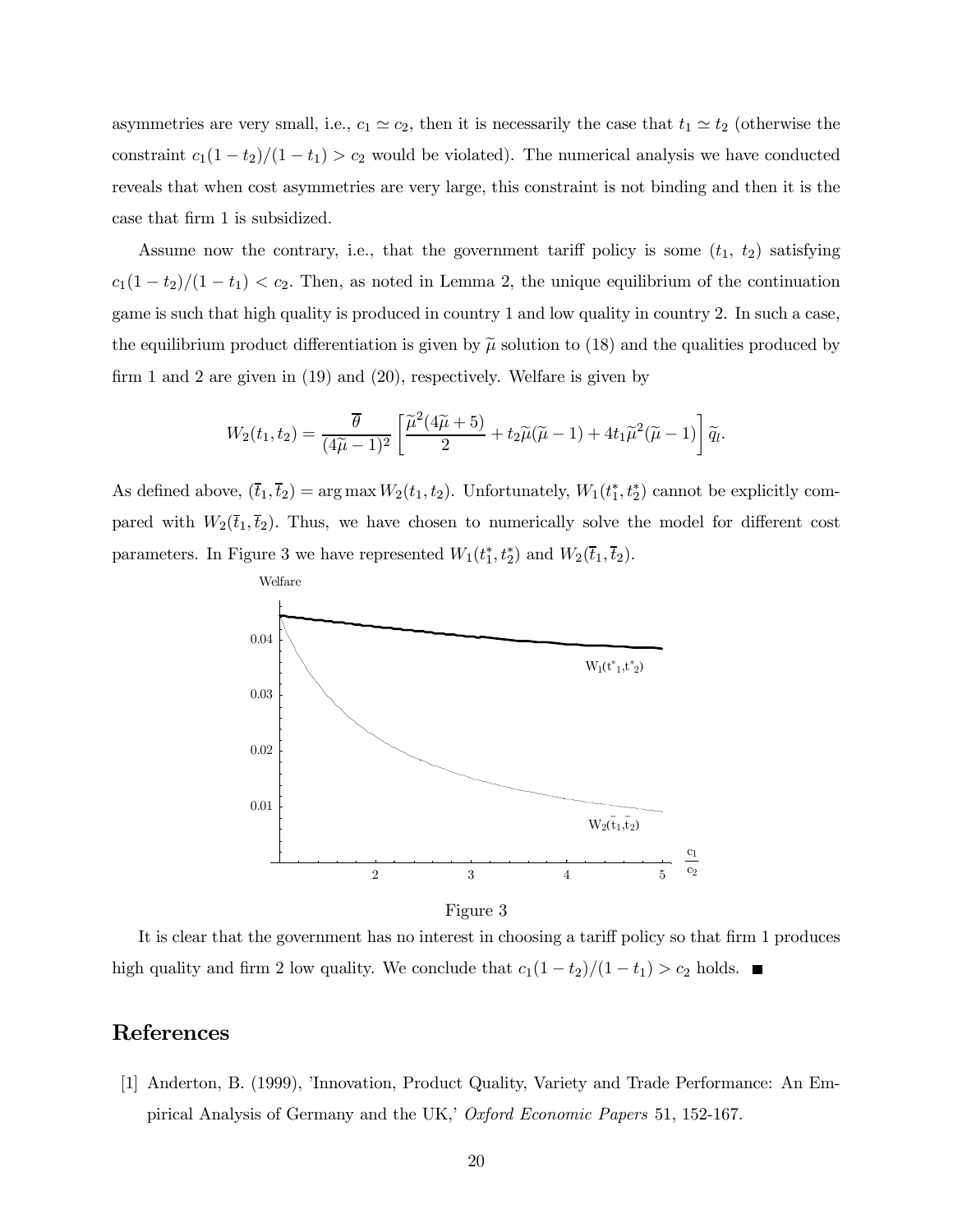asymmetries are very small, i.e.,  $c_1 \simeq c_2$ , then it is necessarily the case that  $t_1 \simeq t_2$  (otherwise the constraint  $c_1(1-t_2)/(1-t_1) > c_2$  would be violated). The numerical analysis we have conducted reveals that when cost asymmetries are very large, this constraint is not binding and then it is the case that firm 1 is subsidized.

Assume now the contrary, i.e., that the government tariff policy is some  $(t_1, t_2)$  satisfying  $c_1(1-t_2)/(1-t_1) < c_2$ . Then, as noted in Lemma 2, the unique equilibrium of the continuation game is such that high quality is produced in country 1 and low quality in country 2. In such a case, the equilibrium product differentiation is given by  $\tilde{\mu}$  solution to (18) and the qualities produced by firm 1 and 2 are given in (19) and (20), respectively. Welfare is given by

$$
W_2(t_1, t_2) = \frac{\overline{\theta}}{(4\widetilde{\mu} - 1)^2} \left[ \frac{\widetilde{\mu}^2(4\widetilde{\mu} + 5)}{2} + t_2 \widetilde{\mu}(\widetilde{\mu} - 1) + 4t_1 \widetilde{\mu}^2(\widetilde{\mu} - 1) \right] \widetilde{q}_l.
$$

As defined above,  $(\bar{t}_1, \bar{t}_2) = \arg \max W_2(t_1, t_2)$ . Unfortunately,  $W_1(t_1^*, t_2^*)$  cannot be explicitly compared with  $W_2(\bar{t}_1,\bar{t}_2)$ . Thus, we have chosen to numerically solve the model for different cost parameters. In Figure 3 we have represented  $W_1(t_1^*, t_2^*)$  and  $W_2(\bar{t}_1, \bar{t}_2)$ .



Figure 3

It is clear that the government has no interest in choosing a tariff policy so that firm 1 produces high quality and firm 2 low quality. We conclude that  $c_1(1-t_2)/(1-t_1) > c_2$  holds.

## References

[1] Anderton, B. (1999), 'Innovation, Product Quality, Variety and Trade Performance: An Empirical Analysis of Germany and the UK,' Oxford Economic Papers 51, 152-167.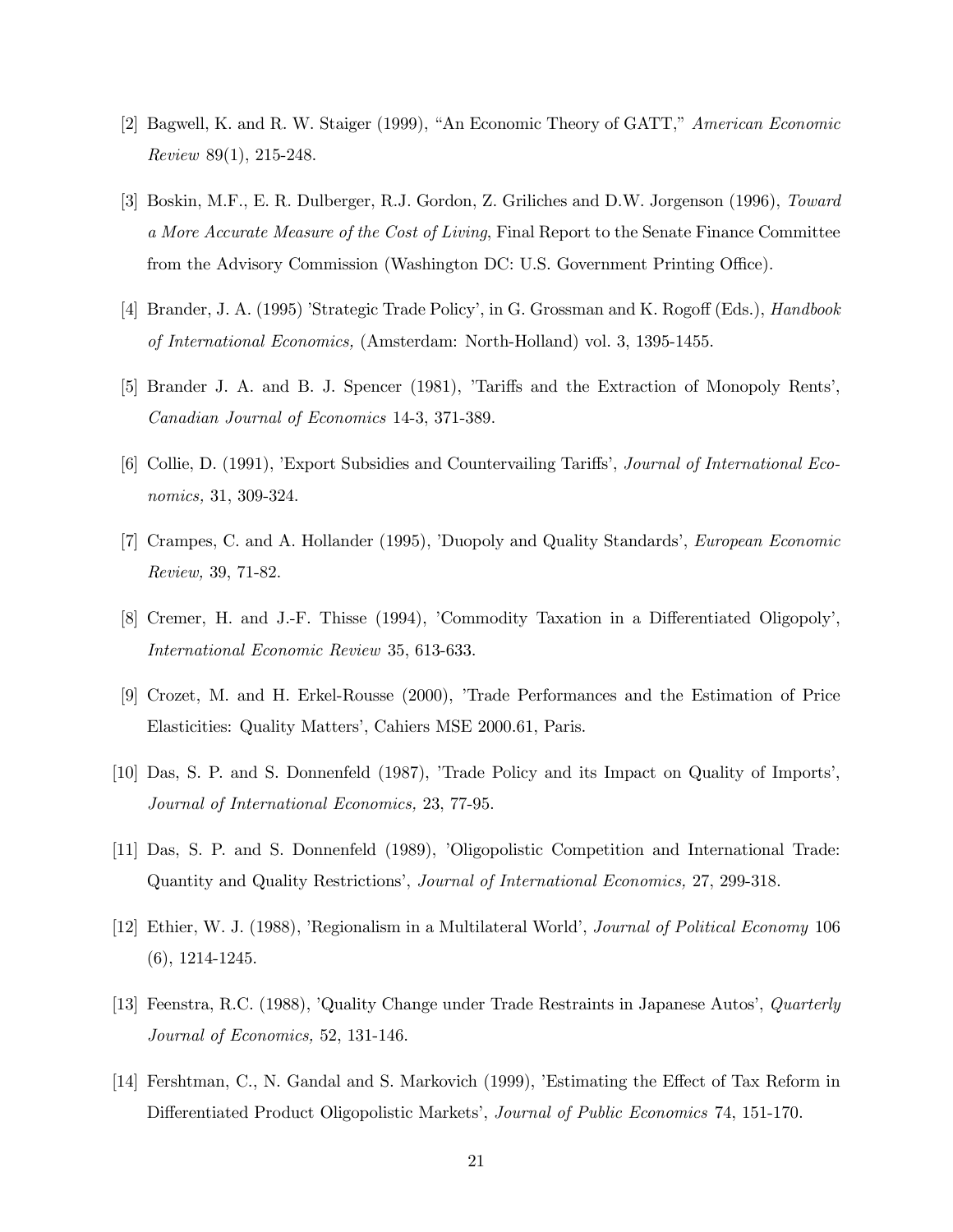- [2] Bagwell, K. and R. W. Staiger (1999), "An Economic Theory of GATT," American Economic Review 89(1), 215-248.
- [3] Boskin, M.F., E. R. Dulberger, R.J. Gordon, Z. Griliches and D.W. Jorgenson (1996), Toward a More Accurate Measure of the Cost of Living, Final Report to the Senate Finance Committee from the Advisory Commission (Washington DC: U.S. Government Printing Office).
- [4] Brander, J. A. (1995) 'Strategic Trade Policy', in G. Grossman and K. Rogoff (Eds.), *Handbook* of International Economics, (Amsterdam: North-Holland) vol. 3, 1395-1455.
- [5] Brander J. A. and B. J. Spencer (1981), 'Tariffs and the Extraction of Monopoly Rents', Canadian Journal of Economics 14-3, 371-389.
- [6] Collie, D. (1991), 'Export Subsidies and Countervailing Tariffs', Journal of International Economics, 31, 309-324.
- [7] Crampes, C. and A. Hollander (1995), 'Duopoly and Quality Standards', European Economic Review, 39, 71-82.
- [8] Cremer, H. and J.-F. Thisse (1994), 'Commodity Taxation in a Differentiated Oligopoly', International Economic Review 35, 613-633.
- [9] Crozet, M. and H. Erkel-Rousse (2000), 'Trade Performances and the Estimation of Price Elasticities: Quality Matters', Cahiers MSE 2000.61, Paris.
- [10] Das, S. P. and S. Donnenfeld (1987), 'Trade Policy and its Impact on Quality of Imports', Journal of International Economics, 23, 77-95.
- [11] Das, S. P. and S. Donnenfeld (1989), 'Oligopolistic Competition and International Trade: Quantity and Quality Restrictions', Journal of International Economics, 27, 299-318.
- [12] Ethier, W. J. (1988), 'Regionalism in a Multilateral World', Journal of Political Economy 106 (6), 1214-1245.
- [13] Feenstra, R.C. (1988), 'Quality Change under Trade Restraints in Japanese Autos', Quarterly Journal of Economics, 52, 131-146.
- [14] Fershtman, C., N. Gandal and S. Markovich (1999), 'Estimating the Effect of Tax Reform in Differentiated Product Oligopolistic Markets', Journal of Public Economics 74, 151-170.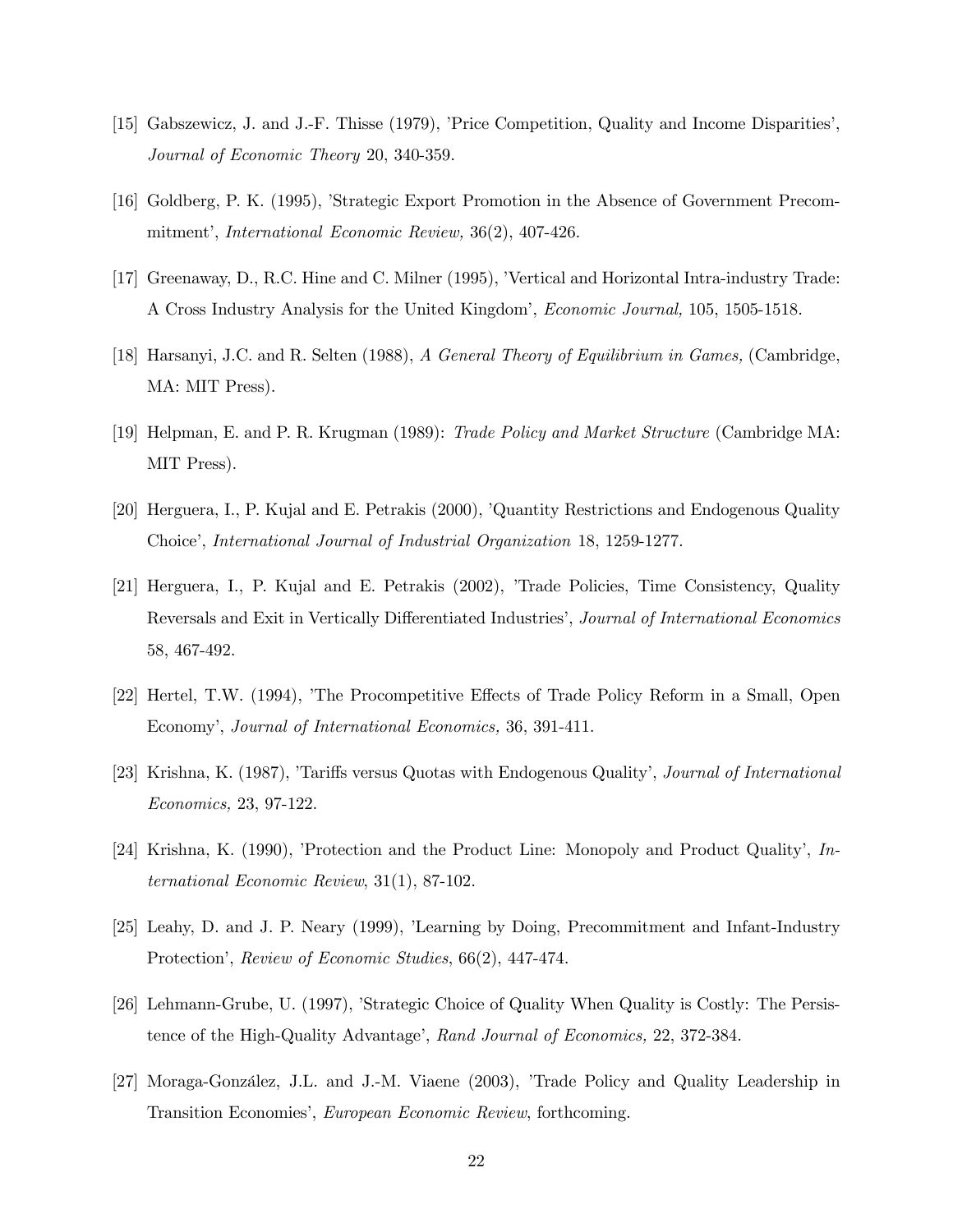- [15] Gabszewicz, J. and J.-F. Thisse (1979), 'Price Competition, Quality and Income Disparities', Journal of Economic Theory 20, 340-359.
- [16] Goldberg, P. K. (1995), 'Strategic Export Promotion in the Absence of Government Precommitment', International Economic Review, 36(2), 407-426.
- [17] Greenaway, D., R.C. Hine and C. Milner (1995), 'Vertical and Horizontal Intra-industry Trade: A Cross Industry Analysis for the United Kingdom', Economic Journal, 105, 1505-1518.
- [18] Harsanyi, J.C. and R. Selten (1988), A General Theory of Equilibrium in Games, (Cambridge, MA: MIT Press).
- [19] Helpman, E. and P. R. Krugman (1989): Trade Policy and Market Structure (Cambridge MA: MIT Press).
- [20] Herguera, I., P. Kujal and E. Petrakis (2000), 'Quantity Restrictions and Endogenous Quality Choice', International Journal of Industrial Organization 18, 1259-1277.
- [21] Herguera, I., P. Kujal and E. Petrakis (2002), 'Trade Policies, Time Consistency, Quality Reversals and Exit in Vertically Differentiated Industries', Journal of International Economics 58, 467-492.
- [22] Hertel, T.W. (1994), 'The Procompetitive Effects of Trade Policy Reform in a Small, Open Economy', Journal of International Economics, 36, 391-411.
- [23] Krishna, K. (1987), 'Tariffs versus Quotas with Endogenous Quality', Journal of International Economics, 23, 97-122.
- [24] Krishna, K. (1990), 'Protection and the Product Line: Monopoly and Product Quality', International Economic Review, 31(1), 87-102.
- [25] Leahy, D. and J. P. Neary (1999), 'Learning by Doing, Precommitment and Infant-Industry Protection', Review of Economic Studies, 66(2), 447-474.
- [26] Lehmann-Grube, U. (1997), 'Strategic Choice of Quality When Quality is Costly: The Persistence of the High-Quality Advantage', Rand Journal of Economics, 22, 372-384.
- [27] Moraga-González, J.L. and J.-M. Viaene (2003), 'Trade Policy and Quality Leadership in Transition Economies', European Economic Review, forthcoming.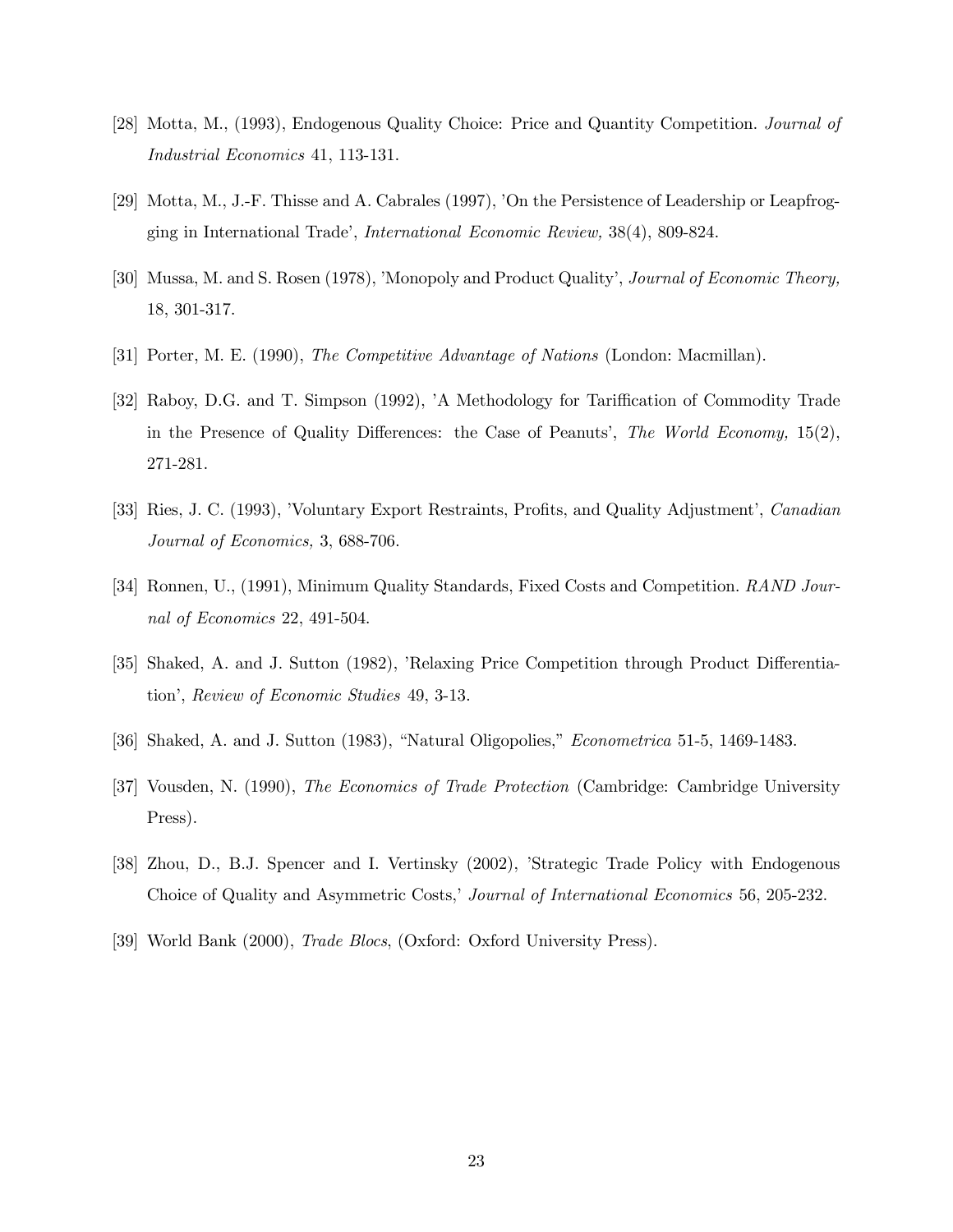- [28] Motta, M., (1993), Endogenous Quality Choice: Price and Quantity Competition. Journal of Industrial Economics 41, 113-131.
- [29] Motta, M., J.-F. Thisse and A. Cabrales (1997), 'On the Persistence of Leadership or Leapfrogging in International Trade', International Economic Review, 38(4), 809-824.
- [30] Mussa, M. and S. Rosen (1978), 'Monopoly and Product Quality', Journal of Economic Theory, 18, 301-317.
- [31] Porter, M. E. (1990), The Competitive Advantage of Nations (London: Macmillan).
- [32] Raboy, D.G. and T. Simpson (1992), 'A Methodology for Tariffication of Commodity Trade in the Presence of Quality Differences: the Case of Peanuts', The World Economy, 15(2), 271-281.
- [33] Ries, J. C. (1993), 'Voluntary Export Restraints, Profits, and Quality Adjustment', Canadian Journal of Economics, 3, 688-706.
- [34] Ronnen, U., (1991), Minimum Quality Standards, Fixed Costs and Competition. RAND Journal of Economics 22, 491-504.
- [35] Shaked, A. and J. Sutton (1982), 'Relaxing Price Competition through Product Differentiation', Review of Economic Studies 49, 3-13.
- [36] Shaked, A. and J. Sutton (1983), "Natural Oligopolies," Econometrica 51-5, 1469-1483.
- [37] Vousden, N. (1990), The Economics of Trade Protection (Cambridge: Cambridge University Press).
- [38] Zhou, D., B.J. Spencer and I. Vertinsky (2002), 'Strategic Trade Policy with Endogenous Choice of Quality and Asymmetric Costs,' Journal of International Economics 56, 205-232.
- [39] World Bank (2000), *Trade Blocs*, (Oxford: Oxford University Press).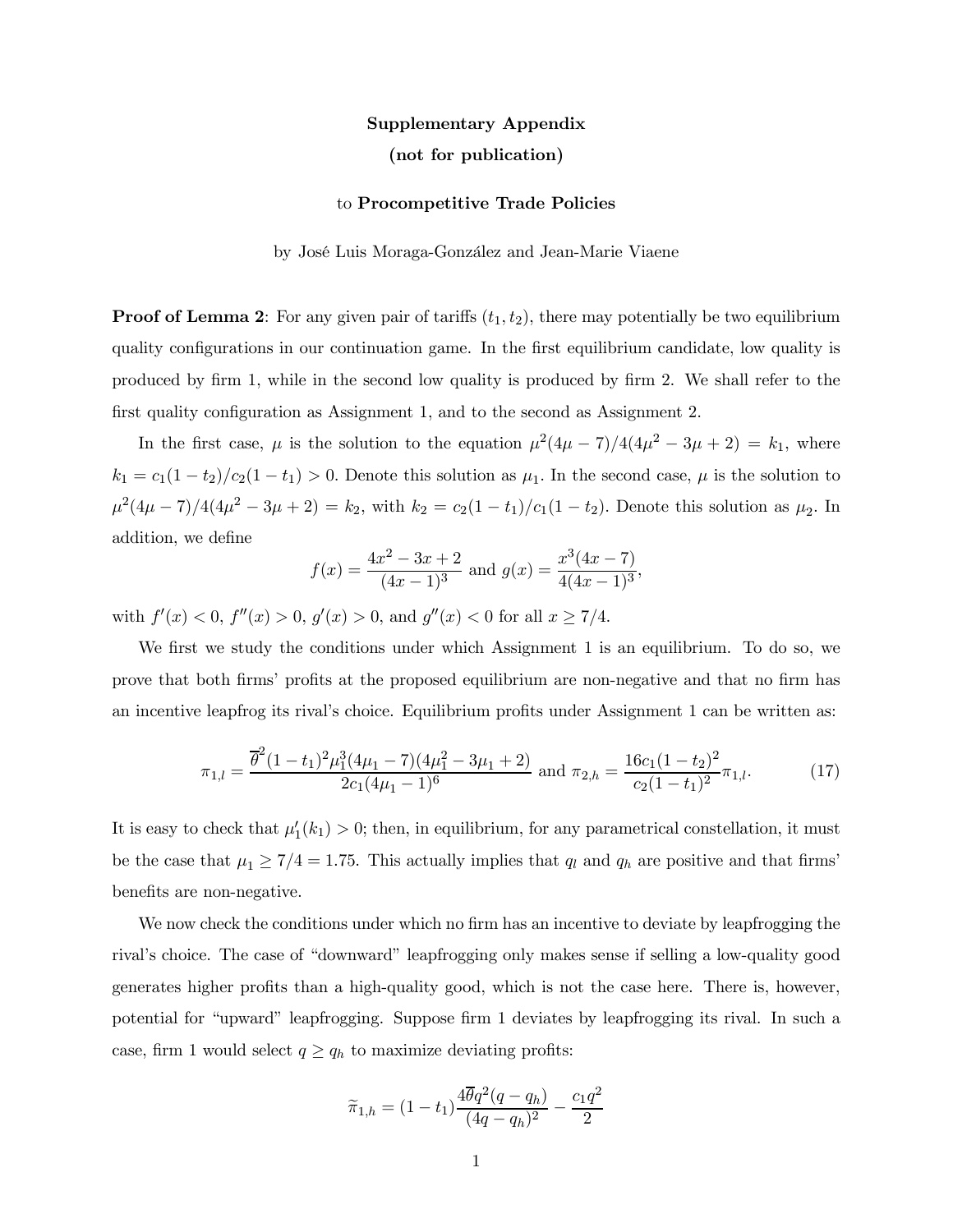# Supplementary Appendix (not for publication)

#### to Procompetitive Trade Policies

by José Luis Moraga-González and Jean-Marie Viaene

**Proof of Lemma 2:** For any given pair of tariffs  $(t_1, t_2)$ , there may potentially be two equilibrium quality configurations in our continuation game. In the first equilibrium candidate, low quality is produced by firm 1, while in the second low quality is produced by firm 2. We shall refer to the first quality configuration as Assignment 1, and to the second as Assignment 2.

In the first case,  $\mu$  is the solution to the equation  $\mu^2(4\mu - 7)/4(4\mu^2 - 3\mu + 2) = k_1$ , where  $k_1 = c_1(1-t_2)/c_2(1-t_1) > 0$ . Denote this solution as  $\mu_1$ . In the second case,  $\mu$  is the solution to  $\mu^2(4\mu - 7)/4(4\mu^2 - 3\mu + 2) = k_2$ , with  $k_2 = c_2(1 - t_1)/c_1(1 - t_2)$ . Denote this solution as  $\mu_2$ . In addition, we define

$$
f(x) = \frac{4x^2 - 3x + 2}{(4x - 1)^3}
$$
 and  $g(x) = \frac{x^3(4x - 7)}{4(4x - 1)^3}$ ,

with  $f'(x) < 0$ ,  $f''(x) > 0$ ,  $g'(x) > 0$ , and  $g''(x) < 0$  for all  $x \ge 7/4$ .

We first we study the conditions under which Assignment 1 is an equilibrium. To do so, we prove that both firms' profits at the proposed equilibrium are non-negative and that no firm has an incentive leapfrog its rival's choice. Equilibrium profits under Assignment 1 can be written as:

$$
\pi_{1,l} = \frac{\overline{\theta}^2 (1 - t_1)^2 \mu_1^3 (4\mu_1 - 7)(4\mu_1^2 - 3\mu_1 + 2)}{2c_1 (4\mu_1 - 1)^6} \text{ and } \pi_{2,h} = \frac{16c_1 (1 - t_2)^2}{c_2 (1 - t_1)^2} \pi_{1,l}.
$$
 (17)

It is easy to check that  $\mu'_1(k_1) > 0$ ; then, in equilibrium, for any parametrical constellation, it must be the case that  $\mu_1 \geq 7/4 = 1.75$ . This actually implies that  $q_l$  and  $q_h$  are positive and that firms' benefits are non-negative.

We now check the conditions under which no firm has an incentive to deviate by leapfrogging the rival's choice. The case of "downward" leapfrogging only makes sense if selling a low-quality good generates higher profits than a high-quality good, which is not the case here. There is, however, potential for "upward" leapfrogging. Suppose firm 1 deviates by leapfrogging its rival. In such a case, firm 1 would select  $q \ge q_h$  to maximize deviating profits:

$$
\widetilde{\pi}_{1,h} = (1 - t_1) \frac{4\overline{\theta}q^2(q - q_h)}{(4q - q_h)^2} - \frac{c_1q^2}{2}
$$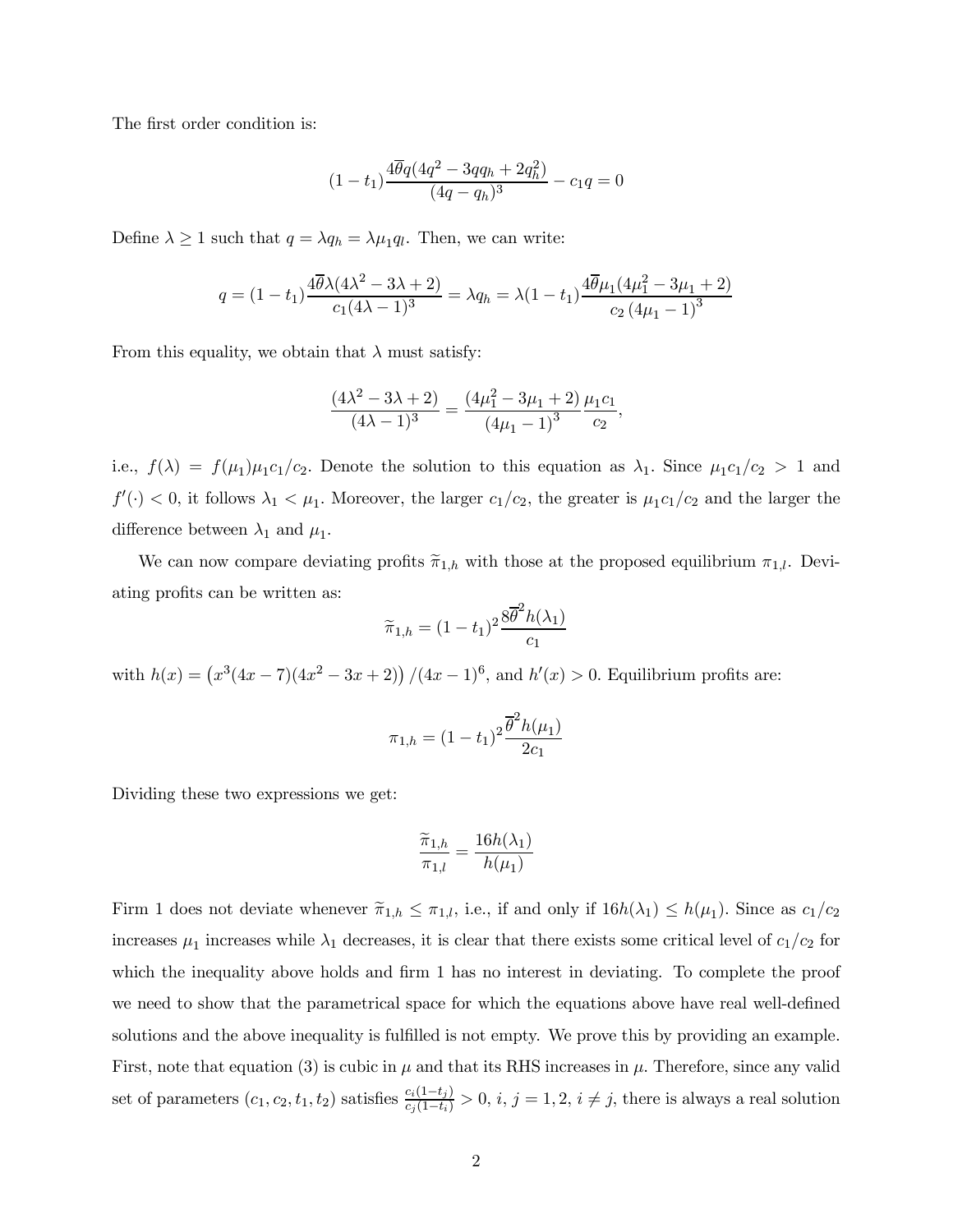The first order condition is:

$$
(1 - t_1) \frac{4\overline{\theta}q(4q^2 - 3qq_h + 2q_h^2)}{(4q - q_h)^3} - c_1q = 0
$$

Define  $\lambda \ge 1$  such that  $q = \lambda q_h = \lambda \mu_1 q_l$ . Then, we can write:

$$
q = (1 - t_1) \frac{4\overline{\theta}\lambda(4\lambda^2 - 3\lambda + 2)}{c_1(4\lambda - 1)^3} = \lambda q_h = \lambda (1 - t_1) \frac{4\overline{\theta}\mu_1(4\mu_1^2 - 3\mu_1 + 2)}{c_2(4\mu_1 - 1)^3}
$$

From this equality, we obtain that  $\lambda$  must satisfy:

$$
\frac{(4\lambda^2 - 3\lambda + 2)}{(4\lambda - 1)^3} = \frac{(4\mu_1^2 - 3\mu_1 + 2)}{(4\mu_1 - 1)^3} \frac{\mu_1 c_1}{c_2},
$$

i.e.,  $f(\lambda) = f(\mu_1)\mu_1c_1/c_2$ . Denote the solution to this equation as  $\lambda_1$ . Since  $\mu_1c_1/c_2 > 1$  and  $f'(\cdot) < 0$ , it follows  $\lambda_1 < \mu_1$ . Moreover, the larger  $c_1/c_2$ , the greater is  $\mu_1 c_1/c_2$  and the larger the difference between  $\lambda_1$  and  $\mu_1$ .

We can now compare deviating profits  $\tilde{\pi}_{1,h}$  with those at the proposed equilibrium  $\pi_{1,l}$ . Deviating profits can be written as:

$$
\widetilde{\pi}_{1,h} = (1 - t_1)^2 \frac{8\overline{\theta}^2 h(\lambda_1)}{c_1}
$$

with  $h(x) = (x^3(4x - 7)(4x^2 - 3x + 2))/(4x - 1)^6$ , and  $h'(x) > 0$ . Equilibrium profits are:

$$
\pi_{1,h} = (1-t_1)^2 \frac{\overline{\theta}^2 h(\mu_1)}{2c_1}
$$

Dividing these two expressions we get:

$$
\frac{\widetilde{\pi}_{1,h}}{\pi_{1,l}} = \frac{16h(\lambda_1)}{h(\mu_1)}
$$

Firm 1 does not deviate whenever  $\tilde{\pi}_{1,h} \leq \pi_{1,l}$ , i.e., if and only if  $16h(\lambda_1) \leq h(\mu_1)$ . Since as  $c_1/c_2$ increases  $\mu_1$  increases while  $\lambda_1$  decreases, it is clear that there exists some critical level of  $c_1/c_2$  for which the inequality above holds and firm 1 has no interest in deviating. To complete the proof we need to show that the parametrical space for which the equations above have real well-defined solutions and the above inequality is fulfilled is not empty. We prove this by providing an example. First, note that equation (3) is cubic in  $\mu$  and that its RHS increases in  $\mu$ . Therefore, since any valid set of parameters  $(c_1, c_2, t_1, t_2)$  satisfies  $\frac{c_i(1-t_j)}{c_j(1-t_i)} > 0$ ,  $i, j = 1, 2, i \neq j$ , there is always a real solution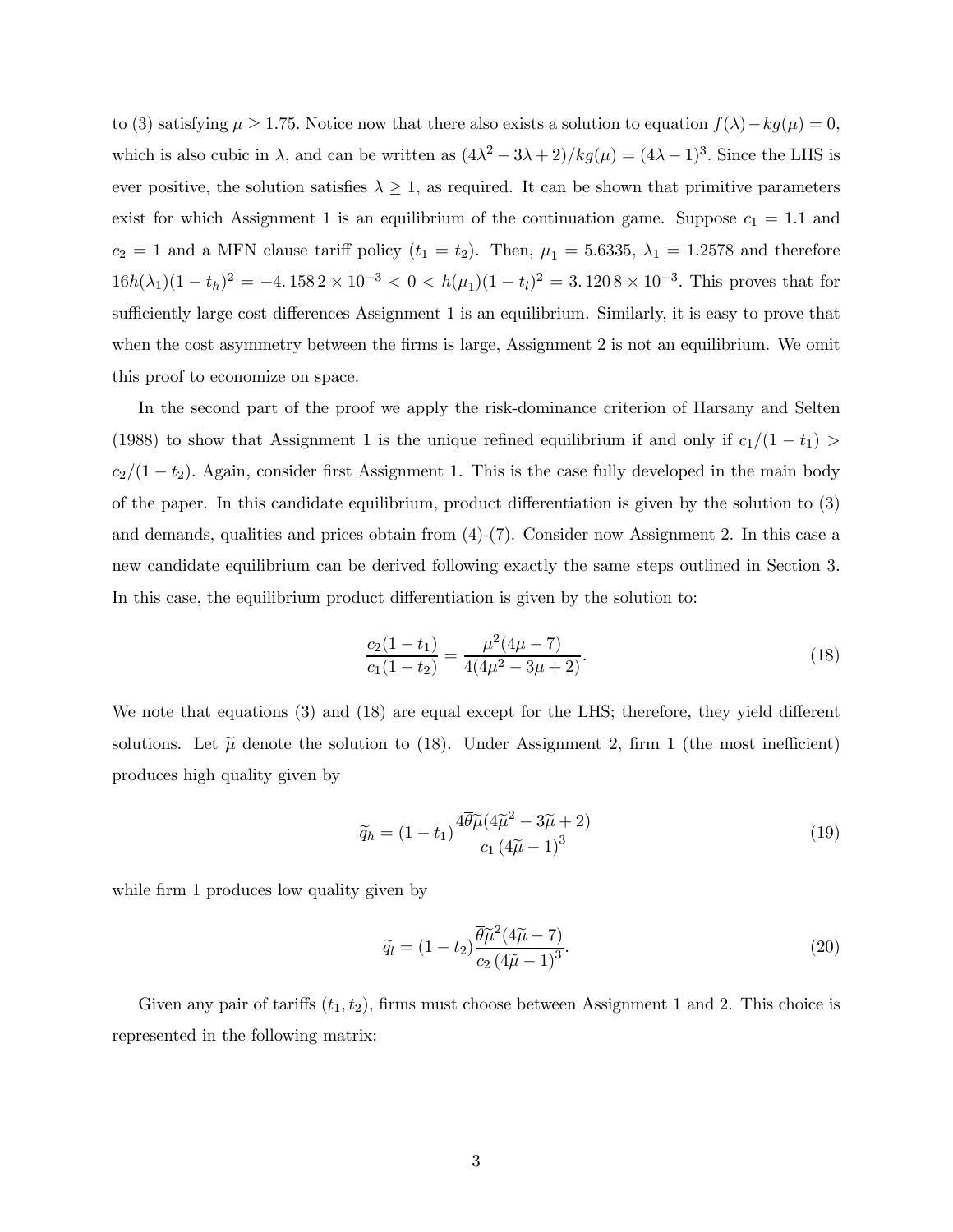to (3) satisfying  $\mu \ge 1.75$ . Notice now that there also exists a solution to equation  $f(\lambda) - kg(\mu) = 0$ , which is also cubic in  $\lambda$ , and can be written as  $(4\lambda^2 - 3\lambda + 2)/kg(\mu) = (4\lambda - 1)^3$ . Since the LHS is ever positive, the solution satisfies  $\lambda \geq 1$ , as required. It can be shown that primitive parameters exist for which Assignment 1 is an equilibrium of the continuation game. Suppose  $c_1 = 1.1$  and  $c_2 = 1$  and a MFN clause tariff policy  $(t_1 = t_2)$ . Then,  $\mu_1 = 5.6335$ ,  $\lambda_1 = 1.2578$  and therefore  $16h(\lambda_1)(1 - t_h)^2 = -4.1582 \times 10^{-3} < 0 < h(\mu_1)(1 - t_l)^2 = 3.1208 \times 10^{-3}$ . This proves that for sufficiently large cost differences Assignment 1 is an equilibrium. Similarly, it is easy to prove that when the cost asymmetry between the firms is large, Assignment 2 is not an equilibrium. We omit this proof to economize on space.

In the second part of the proof we apply the risk-dominance criterion of Harsany and Selten (1988) to show that Assignment 1 is the unique refined equilibrium if and only if  $c_1/(1-t_1)$  $c_2/(1-t_2)$ . Again, consider first Assignment 1. This is the case fully developed in the main body of the paper. In this candidate equilibrium, product differentiation is given by the solution to (3) and demands, qualities and prices obtain from  $(4)-(7)$ . Consider now Assignment 2. In this case a new candidate equilibrium can be derived following exactly the same steps outlined in Section 3. In this case, the equilibrium product differentiation is given by the solution to:

$$
\frac{c_2(1-t_1)}{c_1(1-t_2)} = \frac{\mu^2(4\mu - 7)}{4(4\mu^2 - 3\mu + 2)}.\tag{18}
$$

We note that equations (3) and (18) are equal except for the LHS; therefore, they yield different solutions. Let  $\tilde{\mu}$  denote the solution to (18). Under Assignment 2, firm 1 (the most inefficient) produces high quality given by

$$
\widetilde{q}_h = (1 - t_1) \frac{4\widetilde{\theta}\widetilde{\mu}(4\widetilde{\mu}^2 - 3\widetilde{\mu} + 2)}{c_1 (4\widetilde{\mu} - 1)^3}
$$
\n(19)

while firm 1 produces low quality given by

$$
\widetilde{q}_l = (1 - t_2) \frac{\overline{\theta} \widetilde{\mu}^2 (4\widetilde{\mu} - 7)}{c_2 (4\widetilde{\mu} - 1)^3}.
$$
\n(20)

Given any pair of tariffs  $(t_1, t_2)$ , firms must choose between Assignment 1 and 2. This choice is represented in the following matrix: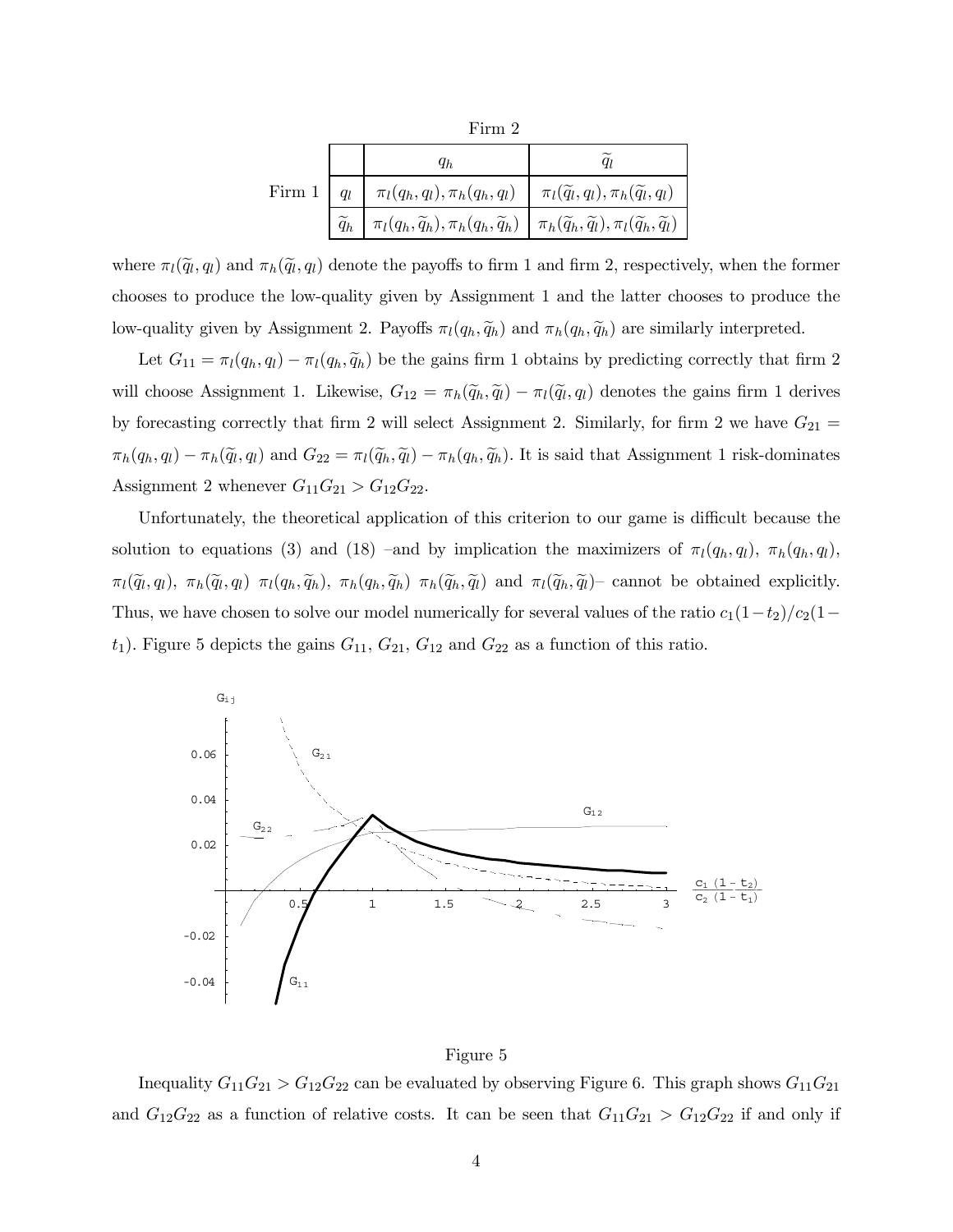|               | $q_h$                                                                                                                                                                      |                                                         |
|---------------|----------------------------------------------------------------------------------------------------------------------------------------------------------------------------|---------------------------------------------------------|
| Firm $1 \mid$ | $q_l$   $\pi_l(q_h, q_l), \pi_h(q_h, q_l)$                                                                                                                                 | $\pi_l(\widetilde{q}_l,q_l),\pi_h(\widetilde{q}_l,q_l)$ |
|               | $\widetilde{q}_h \mid \pi_l(q_h, \widetilde{q}_h), \pi_h(q_h, \widetilde{q}_h) \mid \pi_h(\widetilde{q}_h, \widetilde{q}_l), \pi_l(\widetilde{q}_h, \widetilde{q}_l) \mid$ |                                                         |

where  $\pi_l(\tilde{q}_l, q_l)$  and  $\pi_h(\tilde{q}_l, q_l)$  denote the payoffs to firm 1 and firm 2, respectively, when the former chooses to produce the low-quality given by Assignment 1 and the latter chooses to produce the low-quality given by Assignment 2. Payoffs  $\pi_l(q_h, \tilde{q}_h)$  and  $\pi_h(q_h, \tilde{q}_h)$  are similarly interpreted.

Let  $G_{11} = \pi_l(q_h, q_l) - \pi_l(q_h, \tilde{q}_h)$  be the gains firm 1 obtains by predicting correctly that firm 2 will choose Assignment 1. Likewise,  $G_{12} = \pi_h(\tilde{q}_h, \tilde{q}_l) - \pi_l(\tilde{q}_l, q_l)$  denotes the gains firm 1 derives by forecasting correctly that firm 2 will select Assignment 2. Similarly, for firm 2 we have  $G_{21}$  =  $\pi_h(q_h, q_l) - \pi_h(\tilde{q}_l, q_l)$  and  $G_{22} = \pi_l(\tilde{q}_h, \tilde{q}_l) - \pi_h(q_h, \tilde{q}_h)$ . It is said that Assignment 1 risk-dominates Assignment 2 whenever  $G_{11}G_{21} > G_{12}G_{22}$ .

Unfortunately, the theoretical application of this criterion to our game is difficult because the solution to equations (3) and (18) –and by implication the maximizers of  $\pi_l(q_h, q_l)$ ,  $\pi_h(q_h, q_l)$ ,  $\pi_l(\tilde{q}_l, q_l)$ ,  $\pi_h(\tilde{q}_l, q_l)$   $\pi_l(q_h, \tilde{q}_h)$ ,  $\pi_h(q_h, \tilde{q}_h)$   $\pi_h(\tilde{q}_h, \tilde{q}_l)$  and  $\pi_l(\tilde{q}_h, \tilde{q}_l)$  cannot be obtained explicitly. Thus, we have chosen to solve our model numerically for several values of the ratio  $c_1(1-t_2)/c_2(1-t_1)$  $t_1$ ). Figure 5 depicts the gains  $G_{11}$ ,  $G_{21}$ ,  $G_{12}$  and  $G_{22}$  as a function of this ratio.





Inequality  $G_{11}G_{21} > G_{12}G_{22}$  can be evaluated by observing Figure 6. This graph shows  $G_{11}G_{21}$ and  $G_{12}G_{22}$  as a function of relative costs. It can be seen that  $G_{11}G_{21} > G_{12}G_{22}$  if and only if